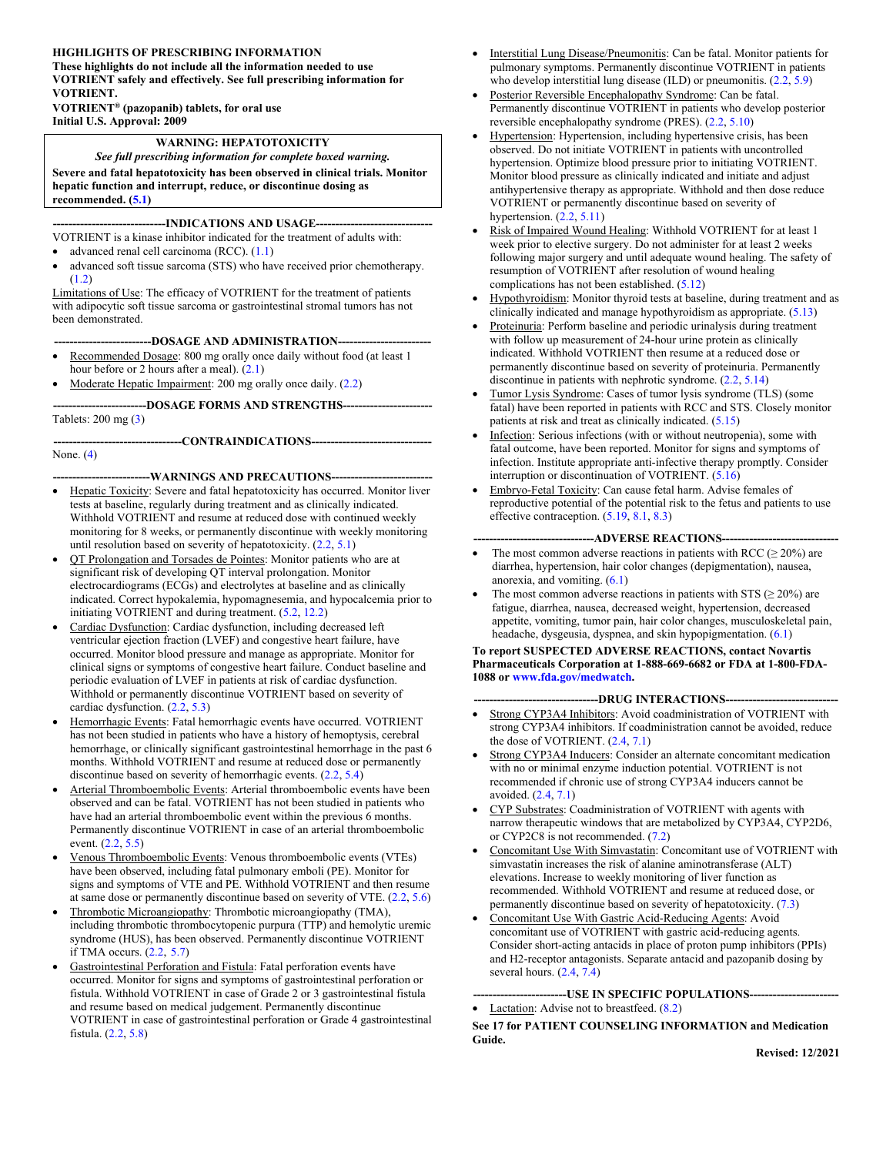#### **HIGHLIGHTS OF PRESCRIBING INFORMATION**

**These highlights do not include all the information needed to use VOTRIENT safely and effectively. See full prescribing information for VOTRIENT. VOTRIENT® (pazopanib) tablets, for oral use**

**Initial U.S. Approval: 2009**

#### **WARNING: HEPATOTOXICITY**

*See full prescribing information for complete boxed warning.* **Severe and fatal hepatotoxicity has been observed in clinical trials. Monitor hepatic function and interrupt, reduce, or discontinue dosing as recommended. [\(5.1](#page-5-0))**

#### --INDICATIONS AND USAGE--

VOTRIENT is a kinase inhibitor indicated for the treatment of adults with:

- $\bullet$  advanced renal cell carcinoma (RCC).  $(1.1)$  $(1.1)$
- advanced soft tissue sarcoma (STS) who have received prior chemotherapy. ([1.2\)](#page-2-1)

Limitations of Use: The efficacy of VOTRIENT for the treatment of patients with adipocytic soft tissue sarcoma or gastrointestinal stromal tumors has not been demonstrated.

---DOSAGE AND ADMINISTRATION----

- Recommended Dosage: 800 mg orally once daily without food (at least 1 hour before or 2 hours after a meal).  $(2.1)$  $(2.1)$
- Moderate Hepatic Impairment: 200 mg orally once daily. ([2.2\)](#page-2-3)

**------------------------DOSAGE FORMS AND STRENGTHS-----------------------** Tablets: 200 mg ([3\)](#page-5-1)

**---------------------------------CONTRAINDICATIONS-------------------------------** None. ([4\)](#page-5-2)

#### **-------------------------WARNINGS AND PRECAUTIONS--------------------------**

- Hepatic Toxicity: Severe and fatal hepatotoxicity has occurred. Monitor liver tests at baseline, regularly during treatment and as clinically indicated. Withhold VOTRIENT and resume at reduced dose with continued weekly monitoring for 8 weeks, or permanently discontinue with weekly monitoring until resolution based on severity of hepatotoxicity. [\(2.2](#page-2-3), [5.1](#page-5-0))
- QT Prolongation and Torsades de Pointes: Monitor patients who are at significant risk of developing QT interval prolongation. Monitor electrocardiograms (ECGs) and electrolytes at baseline and as clinically indicated. Correct hypokalemia, hypomagnesemia, and hypocalcemia prior to initiating VOTRIENT and during treatment. [\(5.2](#page-6-0), [12.2](#page-18-0))
- Cardiac Dysfunction: Cardiac dysfunction, including decreased left ventricular ejection fraction (LVEF) and congestive heart failure, have occurred. Monitor blood pressure and manage as appropriate. Monitor for clinical signs or symptoms of congestive heart failure. Conduct baseline and periodic evaluation of LVEF in patients at risk of cardiac dysfunction. Withhold or permanently discontinue VOTRIENT based on severity of cardiac dysfunction. ([2.2,](#page-2-3) [5.3\)](#page-6-1)
- Hemorrhagic Events: Fatal hemorrhagic events have occurred. VOTRIENT has not been studied in patients who have a history of hemoptysis, cerebral hemorrhage, or clinically significant gastrointestinal hemorrhage in the past 6 months. Withhold VOTRIENT and resume at reduced dose or permanently discontinue based on severity of hemorrhagic events. ([2.2,](#page-2-3) [5.4\)](#page-6-2)
- Arterial Thromboembolic Events: Arterial thromboembolic events have been observed and can be fatal. VOTRIENT has not been studied in patients who have had an arterial thromboembolic event within the previous 6 months. Permanently discontinue VOTRIENT in case of an arterial thromboembolic event. ([2.2,](#page-2-3) [5.5\)](#page-7-0)
- Venous Thromboembolic Events: Venous thromboembolic events (VTEs) have been observed, including fatal pulmonary emboli (PE). Monitor for signs and symptoms of VTE and PE. Withhold VOTRIENT and then resume at same dose or permanently discontinue based on severity of VTE. ([2.2,](#page-2-3) [5.6\)](#page-7-1)
- Thrombotic Microangiopathy: Thrombotic microangiopathy (TMA), including thrombotic thrombocytopenic purpura (TTP) and hemolytic uremic syndrome (HUS), has been observed. Permanently discontinue VOTRIENT if TMA occurs. [\(2.2](#page-2-3), [5.7](#page-7-2))
- Gastrointestinal Perforation and Fistula: Fatal perforation events have occurred. Monitor for signs and symptoms of gastrointestinal perforation or fistula. Withhold VOTRIENT in case of Grade 2 or 3 gastrointestinal fistula and resume based on medical judgement. Permanently discontinue VOTRIENT in case of gastrointestinal perforation or Grade 4 gastrointestinal fistula. ([2.2,](#page-2-3) [5.8\)](#page-7-3)
- Interstitial Lung Disease/Pneumonitis: Can be fatal. Monitor patients for pulmonary symptoms. Permanently discontinue VOTRIENT in patients who develop interstitial lung disease (ILD) or pneumonitis.  $(2.2, 5.9)$  $(2.2, 5.9)$  $(2.2, 5.9)$  $(2.2, 5.9)$
- Posterior Reversible Encephalopathy Syndrome: Can be fatal. Permanently discontinue VOTRIENT in patients who develop posterior reversible encephalopathy syndrome (PRES). [\(2.2](#page-2-3), [5.10](#page-8-0))
- Hypertension: Hypertension, including hypertensive crisis, has been observed. Do not initiate VOTRIENT in patients with uncontrolled hypertension. Optimize blood pressure prior to initiating VOTRIENT. Monitor blood pressure as clinically indicated and initiate and adjust antihypertensive therapy as appropriate. Withhold and then dose reduce VOTRIENT or permanently discontinue based on severity of hypertension.  $(2.2, 5.11)$  $(2.2, 5.11)$  $(2.2, 5.11)$  $(2.2, 5.11)$
- Risk of Impaired Wound Healing: Withhold VOTRIENT for at least 1 week prior to elective surgery. Do not administer for at least 2 weeks following major surgery and until adequate wound healing. The safety of resumption of VOTRIENT after resolution of wound healing complications has not been established. [\(5.12](#page-8-2))
- Hypothyroidism: Monitor thyroid tests at baseline, during treatment and as clinically indicated and manage hypothyroidism as appropriate. ([5.13\)](#page-8-3)
- Proteinuria: Perform baseline and periodic urinalysis during treatment with follow up measurement of 24-hour urine protein as clinically indicated. Withhold VOTRIENT then resume at a reduced dose or permanently discontinue based on severity of proteinuria. Permanently discontinue in patients with nephrotic syndrome.  $(2.2, 5.14)$  $(2.2, 5.14)$  $(2.2, 5.14)$  $(2.2, 5.14)$
- Tumor Lysis Syndrome: Cases of tumor lysis syndrome (TLS) (some fatal) have been reported in patients with RCC and STS. Closely monitor patients at risk and treat as clinically indicated. ([5.15\)](#page-8-5)
- Infection: Serious infections (with or without neutropenia), some with fatal outcome, have been reported. Monitor for signs and symptoms of infection. Institute appropriate anti-infective therapy promptly. Consider interruption or discontinuation of VOTRIENT. [\(5.16](#page-9-0))
- Embryo-Fetal Toxicity: Can cause fetal harm. Advise females of reproductive potential of the potential risk to the fetus and patients to use effective contraception. [\(5.19](#page-9-1), [8.1](#page-15-0), [8.3](#page-16-0))

#### **-------------------------------ADVERSE REACTIONS------------------------------**

- The most common adverse reactions in patients with RCC ( $\geq$  20%) are diarrhea, hypertension, hair color changes (depigmentation), nausea, anorexia, and vomiting. [\(6.1](#page-10-0))
- The most common adverse reactions in patients with STS ( $\geq$  20%) are fatigue, diarrhea, nausea, decreased weight, hypertension, decreased appetite, vomiting, tumor pain, hair color changes, musculoskeletal pain, headache, dysgeusia, dyspnea, and skin hypopigmentation. ([6.1\)](#page-10-0)

#### **To report SUSPECTED ADVERSE REACTIONS, contact Novartis Pharmaceuticals Corporation at 1-888-669-6682 or FDA at 1-800-FDA-1088 or [www.fda.gov/medwatch](http://sharepoint.fda.gov/orgs/CDER-OHOP-DOP2/Shared%20Documents/RPM_Information/Mimi_Biable/Safety_letters_for_VEGF_inhibiting_products/NDA_022465_pazopanib/www.fda.gov/medwatch).**

#### --DRUG INTERACTIONS----

- Strong CYP3A4 Inhibitors: Avoid coadministration of VOTRIENT with strong CYP3A4 inhibitors. If coadministration cannot be avoided, reduce the dose of VOTRIENT. ([2.4,](#page-5-3) [7.1\)](#page-14-0)
- Strong CYP3A4 Inducers: Consider an alternate concomitant medication with no or minimal enzyme induction potential. VOTRIENT is not recommended if chronic use of strong CYP3A4 inducers cannot be avoided. ([2.4,](#page-5-3) [7.1\)](#page-14-0)
- CYP Substrates: Coadministration of VOTRIENT with agents with narrow therapeutic windows that are metabolized by CYP3A4, CYP2D6, or CYP2C8 is not recommended. [\(7.2](#page-14-1))
- Concomitant Use With Simvastatin: Concomitant use of VOTRIENT with simvastatin increases the risk of alanine aminotransferase (ALT) elevations. Increase to weekly monitoring of liver function as recommended. Withhold VOTRIENT and resume at reduced dose, or permanently discontinue based on severity of hepatotoxicity. ([7.3\)](#page-14-2)
- Concomitant Use With Gastric Acid-Reducing Agents: Avoid concomitant use of VOTRIENT with gastric acid-reducing agents. Consider short-acting antacids in place of proton pump inhibitors (PPIs) and H2-receptor antagonists. Separate antacid and pazopanib dosing by several hours. [\(2.4](#page-5-3), [7.4](#page-15-1))

**------------------------USE IN SPECIFIC POPULATIONS-----------------------**

• Lactation: Advise not to breastfeed.  $(8.2)$  $(8.2)$ 

**See 17 for PATIENT COUNSELING INFORMATION and Medication Guide.**

**Revised: 12/2021**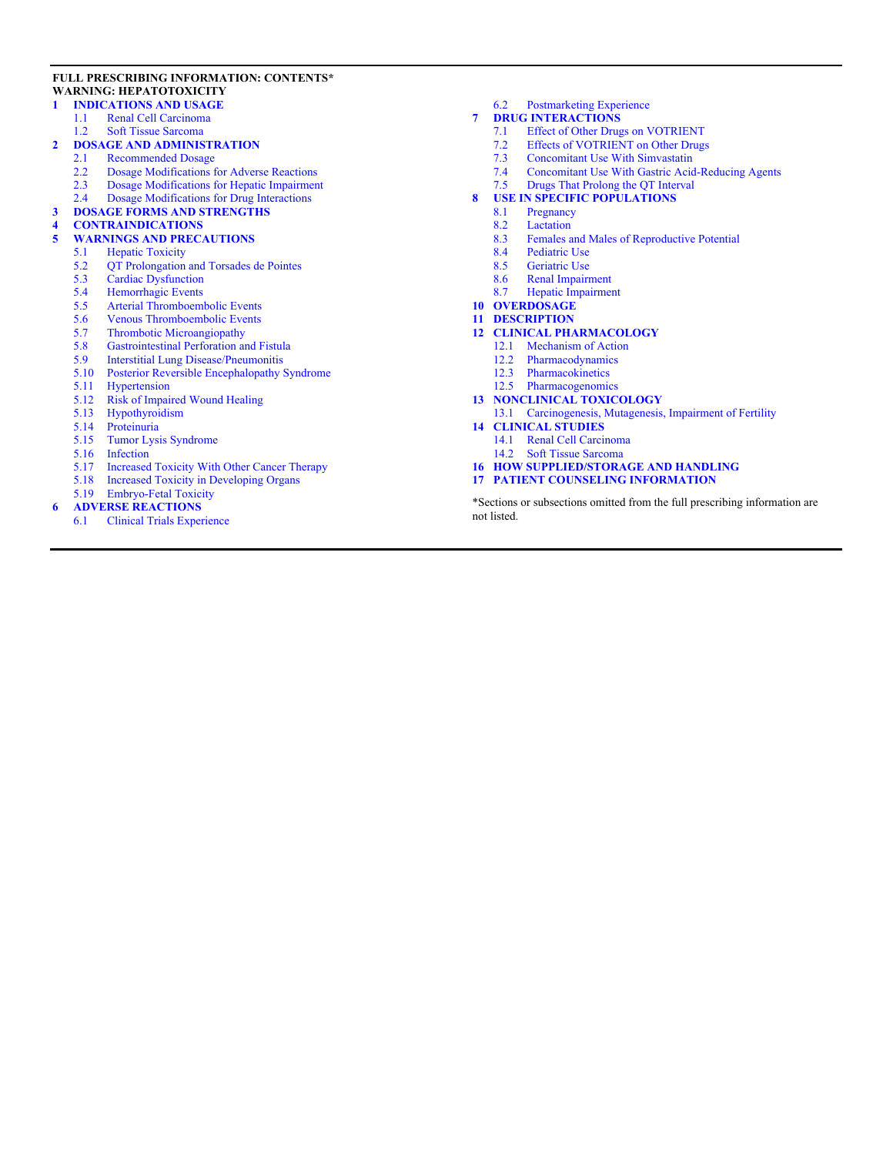#### **FULL PRESCRIBING INFORMATION: CONTENTS\* WARNING: HEPATOTOXICITY**

#### **[1 INDICATIONS AND USAGE](#page-2-4)**

- [1.1 Renal Cell Carcinoma](#page-2-0)
- [1.2 Soft Tissue Sarcoma](#page-2-1)
- 2 **DOSAGE AND ADMINISTRATION**<br>2.1 Recommended Dosage
	- Recommended Dosage
	- [2.2 Dosage Modifications for Adverse Reactions](#page-2-3)<br>2.3 Dosage Modifications for Hepatic Impairmen
	- [2.3 Dosage Modifications for Hepatic Impairment](#page-4-0)
	- [2.4 Dosage Modifications for Drug Interactions](#page-5-3)
- **[3 DOSAGE FORMS AND STRENGTHS](#page-5-1)**

# **[4 CONTRAINDICATIONS](#page-5-2)**

- **[5 WARNINGS AND PRECAUTIONS](#page-5-4)**
- [5.1 Hepatic Toxicity](#page-5-0)<br>5.2 OT Prolongation
	- [5.2 QT Prolongation and Torsades de Pointes](#page-6-0)<br>5.3 Cardiac Dysfunction
	- Cardiac Dysfunction
	- [5.4 Hemorrhagic Events](#page-6-2)<br>5.5 Arterial Thromboem
	- [5.5 Arterial Thromboembolic Events](#page-7-0)<br>5.6 Venous Thromboembolic Events
	- Venous Thromboembolic Events
	- [5.7 Thrombotic Microangiopathy](#page-7-2)
	- [5.8 Gastrointestinal Perforation and Fistula](#page-7-3)<br>5.9 Interstitial Lung Disease/Pneumonitis
	- [5.9 Interstitial Lung Disease/Pneumonitis](#page-7-4)
	- [5.10 Posterior Reversible Encephalopathy Syndrome](#page-8-0)
	- [5.11 Hypertension](#page-8-1)
	- [5.12 Risk of Impaired Wound Healing](#page-8-2)<br>5.13 Hypothyroidism
	- **Hypothyroidism**
	- [5.14 Proteinuria](#page-8-4)
	- [5.15 Tumor Lysis Syndrome](#page-8-5)
	-
	- [5.16 Infection](#page-9-0)<br>5.17 Increased Increased Toxicity With Other Cancer Therapy
	- [5.18 Increased Toxicity in Developing Organs](#page-9-3)
- [5.19 Embryo-Fetal Toxicity](#page-9-1)
- **[6 ADVERSE REACTIONS](#page-9-4)**
	- [6.1 Clinical Trials Experience](#page-10-0)

[6.2 Postmarketing Experience](#page-14-3)

#### **[7 DRUG INTERACTIONS](#page-14-4)**

- [7.1 Effect of Other Drugs on VOTRIENT](#page-14-0)
- [7.2 Effects of VOTRIENT on Other Drugs](#page-14-1)
- [7.3 Concomitant Use With Simvastatin](#page-14-2)
- [7.4 Concomitant Use With Gastric Acid-Reducing Agents](#page-15-1)
- [7.5 Drugs That Prolong the QT Interval](#page-15-2)

# **[8 USE IN SPECIFIC POPULATIONS](#page-15-3)**<br>8.1 Pregnancy

- **Pregnancy**
- [8.2 Lactation](#page-16-1)<br>8.3 Females a
- [8.3 Females and Males of Reproductive Potential](#page-16-0)<br>8.4 Pediatric Use
- [8.4 Pediatric Use](#page-16-2)<br>8.5 Geriatric Use
- Geriatric Use
- [8.6 Renal Impairment](#page-17-1)
- [8.7 Hepatic Impairment](#page-17-2)
- **[10 OVERDOSAGE](#page-17-3)**
- **[11 DESCRIPTION](#page-17-4)**
- **[12 CLINICAL PHARMACOLOGY](#page-18-1)**
	- [12.1 Mechanism of Action](#page-18-2)
	- [12.2 Pharmacodynamics](#page-18-0)
	- [12.3 Pharmacokinetics](#page-18-3)
	- [12.5 Pharmacogenomics](#page-20-0)
- **[13 NONCLINICAL TOXICOLOGY](#page-20-1)**
- [13.1 Carcinogenesis, Mutagenesis, Impairment of Fertility](#page-20-2) **[14 CLINICAL STUDIES](#page-21-0)**
	- [14.1 Renal Cell Carcinoma](#page-21-1)
	- [14.2 Soft Tissue Sarcoma](#page-22-0)
- **[16 HOW SUPPLIED/STORAGE AND HANDLING](#page-24-0)**
- **[17 PATIENT COUNSELING INFORMATION](#page-24-1)**

\*Sections or subsections omitted from the full prescribing information are not listed.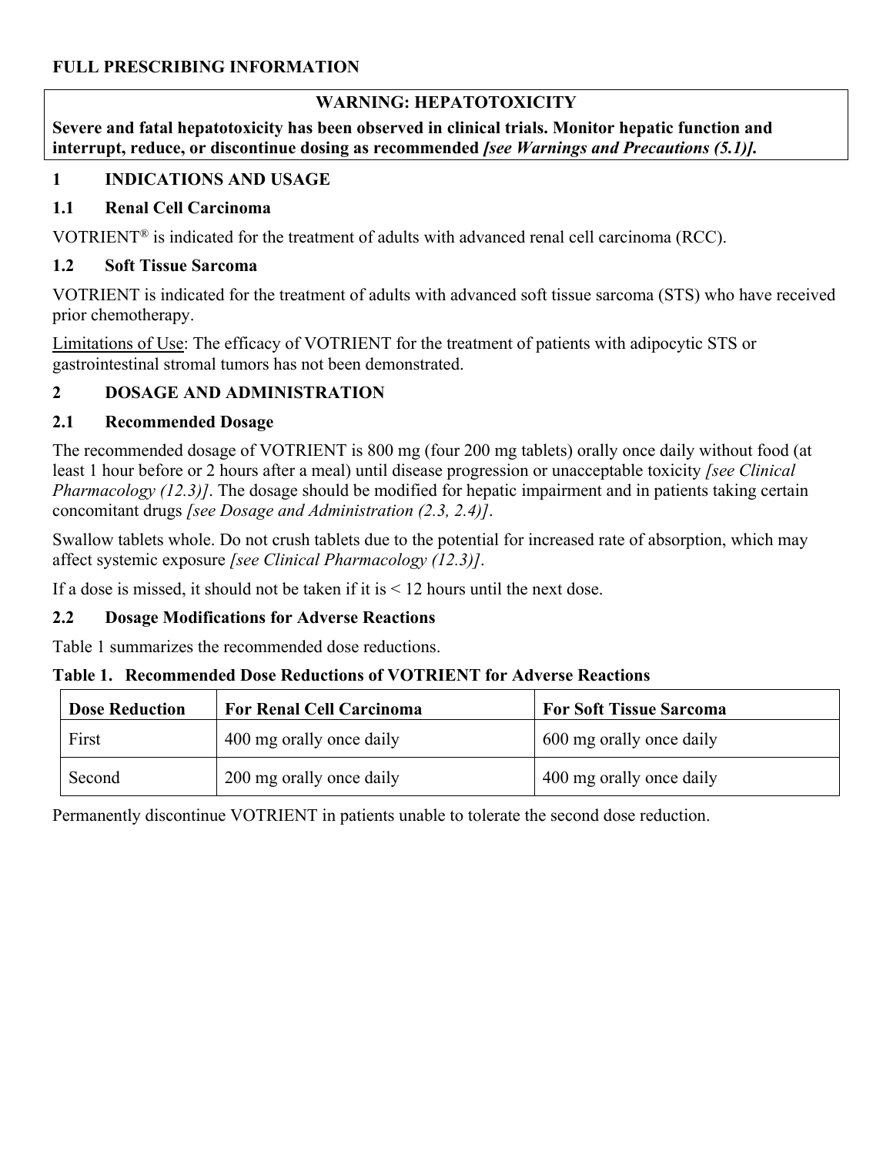#### **FULL PRESCRIBING INFORMATION**

#### **WARNING: HEPATOTOXICITY**

**Severe and fatal hepatotoxicity has been observed in clinical trials. Monitor hepatic function and interrupt, reduce, or discontinue dosing as recommended** *[see Warnings and Precautions (5.1)].*

#### <span id="page-2-4"></span>**1 INDICATIONS AND USAGE**

#### <span id="page-2-0"></span>**1.1 Renal Cell Carcinoma**

VOTRIENT® is indicated for the treatment of adults with advanced renal cell carcinoma (RCC).

#### <span id="page-2-1"></span>**1.2 Soft Tissue Sarcoma**

VOTRIENT is indicated for the treatment of adults with advanced soft tissue sarcoma (STS) who have received prior chemotherapy.

Limitations of Use: The efficacy of VOTRIENT for the treatment of patients with adipocytic STS or gastrointestinal stromal tumors has not been demonstrated.

### <span id="page-2-5"></span>**2 DOSAGE AND ADMINISTRATION**

#### <span id="page-2-2"></span>**2.1 Recommended Dosage**

The recommended dosage of VOTRIENT is 800 mg (four 200 mg tablets) orally once daily without food (at least 1 hour before or 2 hours after a meal) until disease progression or unacceptable toxicity *[see Clinical Pharmacology (12.3)]*. The dosage should be modified for hepatic impairment and in patients taking certain concomitant drugs *[see Dosage and Administration (2.3, 2.4)]*.

Swallow tablets whole. Do not crush tablets due to the potential for increased rate of absorption, which may affect systemic exposure *[see Clinical Pharmacology (12.3)]*.

If a dose is missed, it should not be taken if it is  $\leq 12$  hours until the next dose.

### <span id="page-2-3"></span>**2.2 Dosage Modifications for Adverse Reactions**

Table 1 summarizes the recommended dose reductions.

#### **Table 1. Recommended Dose Reductions of VOTRIENT for Adverse Reactions**

| <b>Dose Reduction</b> | <b>For Renal Cell Carcinoma</b> | <b>For Soft Tissue Sarcoma</b> |
|-----------------------|---------------------------------|--------------------------------|
| First                 | 400 mg orally once daily        | 600 mg orally once daily       |
| Second                | 200 mg orally once daily        | 400 mg orally once daily       |

Permanently discontinue VOTRIENT in patients unable to tolerate the second dose reduction.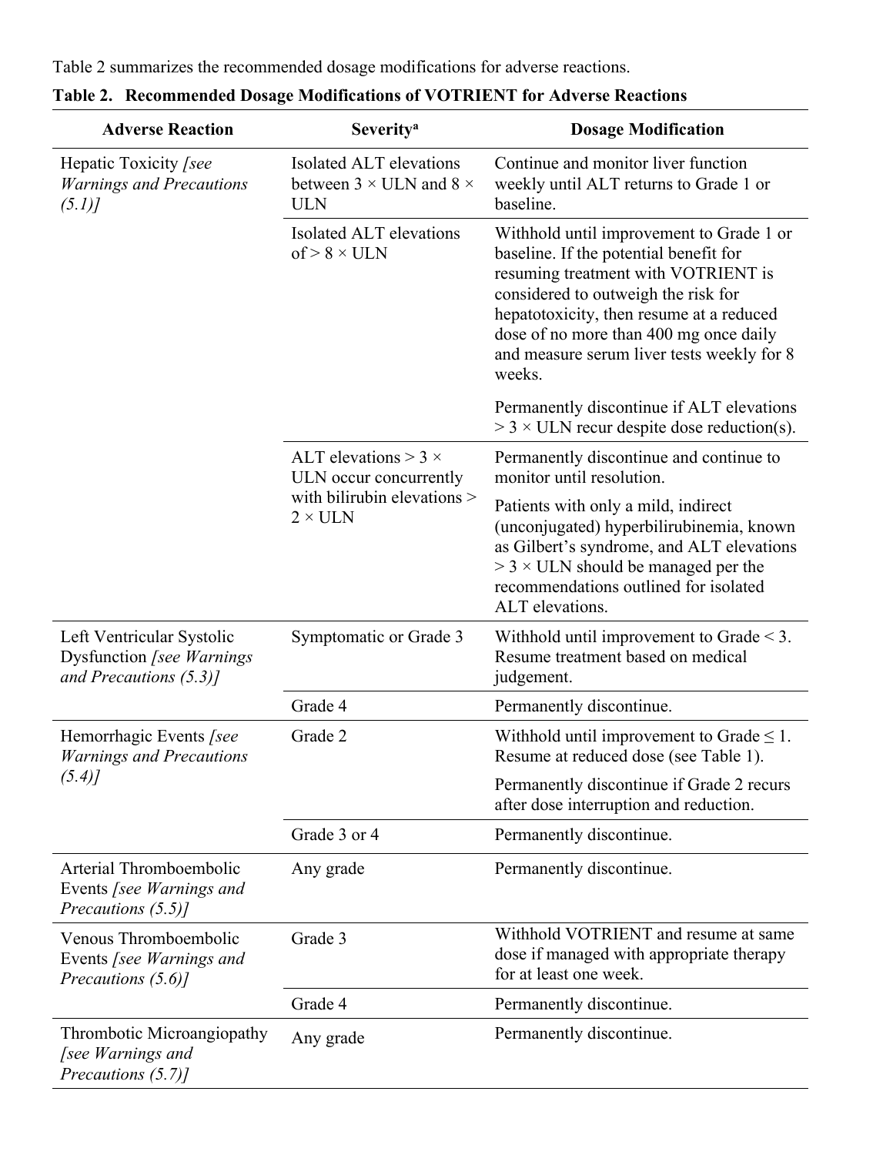Table 2 summarizes the recommended dosage modifications for adverse reactions.

| <b>Adverse Reaction</b>                                                              | <b>Severity<sup>a</sup></b>                                                    | <b>Dosage Modification</b>                                                                                                                                                                                                                                                                                     |
|--------------------------------------------------------------------------------------|--------------------------------------------------------------------------------|----------------------------------------------------------------------------------------------------------------------------------------------------------------------------------------------------------------------------------------------------------------------------------------------------------------|
| Hepatic Toxicity [see<br><b>Warnings and Precautions</b><br>(5.1)                    | Isolated ALT elevations<br>between $3 \times$ ULN and $8 \times$<br><b>ULN</b> | Continue and monitor liver function<br>weekly until ALT returns to Grade 1 or<br>baseline.                                                                                                                                                                                                                     |
|                                                                                      | Isolated ALT elevations<br>$of > 8 \times ULN$                                 | Withhold until improvement to Grade 1 or<br>baseline. If the potential benefit for<br>resuming treatment with VOTRIENT is<br>considered to outweigh the risk for<br>hepatotoxicity, then resume at a reduced<br>dose of no more than 400 mg once daily<br>and measure serum liver tests weekly for 8<br>weeks. |
|                                                                                      |                                                                                | Permanently discontinue if ALT elevations<br>$>$ 3 $\times$ ULN recur despite dose reduction(s).                                                                                                                                                                                                               |
|                                                                                      | ALT elevations $>$ 3 $\times$<br>ULN occur concurrently                        | Permanently discontinue and continue to<br>monitor until resolution.                                                                                                                                                                                                                                           |
|                                                                                      | with bilirubin elevations ><br>$2 \times ULN$                                  | Patients with only a mild, indirect<br>(unconjugated) hyperbilirubinemia, known<br>as Gilbert's syndrome, and ALT elevations<br>$>$ 3 $\times$ ULN should be managed per the<br>recommendations outlined for isolated<br>ALT elevations.                                                                       |
| Left Ventricular Systolic<br>Dysfunction [see Warnings]<br>and Precautions $(5.3)$ ] | Symptomatic or Grade 3                                                         | Withhold until improvement to Grade $\leq$ 3.<br>Resume treatment based on medical<br>judgement.                                                                                                                                                                                                               |
|                                                                                      | Grade 4                                                                        | Permanently discontinue.                                                                                                                                                                                                                                                                                       |
| Hemorrhagic Events [see<br><b>Warnings and Precautions</b>                           | Grade 2                                                                        | Withhold until improvement to Grade $\leq 1$ .<br>Resume at reduced dose (see Table 1).                                                                                                                                                                                                                        |
| (5.4)                                                                                |                                                                                | Permanently discontinue if Grade 2 recurs<br>after dose interruption and reduction.                                                                                                                                                                                                                            |
|                                                                                      | Grade 3 or 4                                                                   | Permanently discontinue.                                                                                                                                                                                                                                                                                       |
| Arterial Thromboembolic<br>Events [see Warnings and<br>Precautions (5.5)]            | Any grade                                                                      | Permanently discontinue.                                                                                                                                                                                                                                                                                       |
| Venous Thromboembolic<br>Events [see Warnings and<br>Precautions $(5.6)$ ]           | Grade 3                                                                        | Withhold VOTRIENT and resume at same<br>dose if managed with appropriate therapy<br>for at least one week.                                                                                                                                                                                                     |
|                                                                                      | Grade 4                                                                        | Permanently discontinue.                                                                                                                                                                                                                                                                                       |
| Thrombotic Microangiopathy<br><i>see Warnings and</i><br>Precautions (5.7)]          | Any grade                                                                      | Permanently discontinue.                                                                                                                                                                                                                                                                                       |

**Table 2. Recommended Dosage Modifications of VOTRIENT for Adverse Reactions**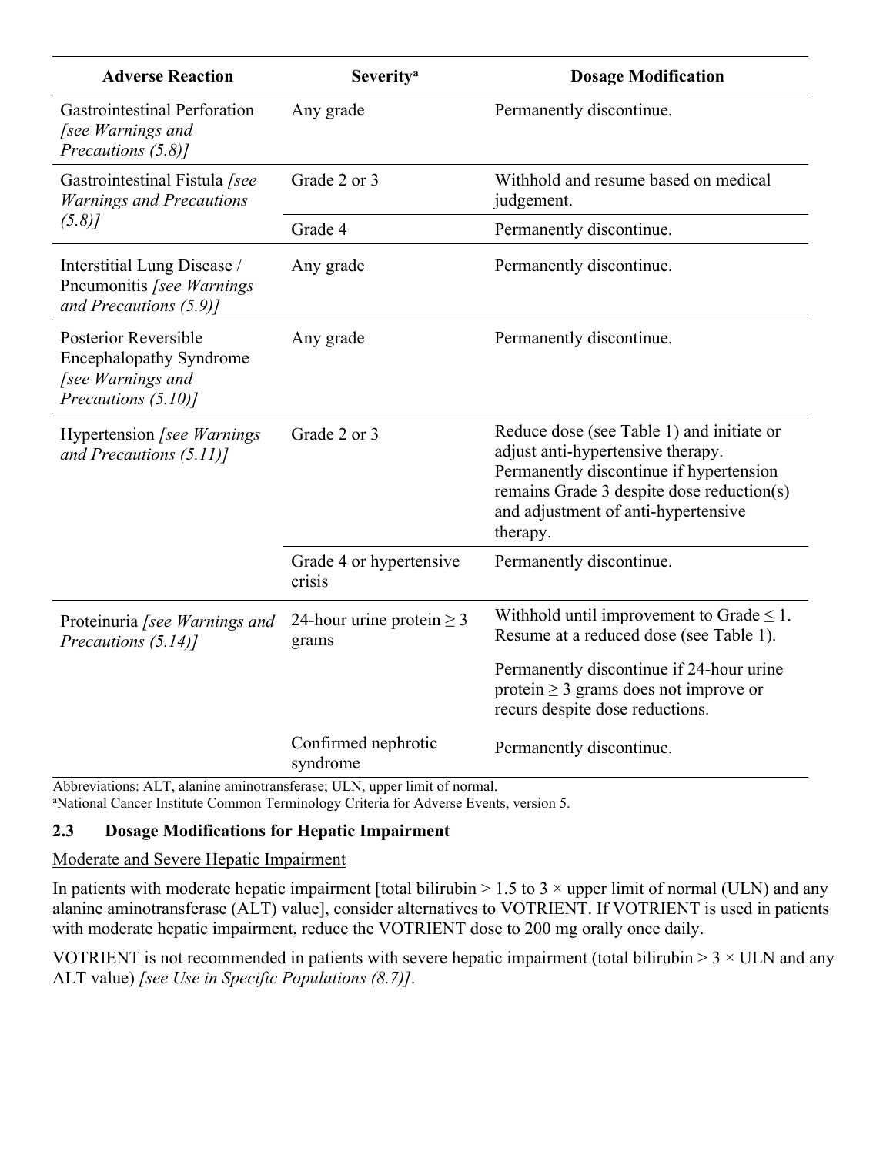| <b>Adverse Reaction</b>                                                                                   | <b>Severity<sup>a</sup></b>             | <b>Dosage Modification</b>                                                                                                                                                                                                |
|-----------------------------------------------------------------------------------------------------------|-----------------------------------------|---------------------------------------------------------------------------------------------------------------------------------------------------------------------------------------------------------------------------|
| <b>Gastrointestinal Perforation</b><br>[see Warnings and<br>Precautions (5.8)]                            | Any grade                               | Permanently discontinue.                                                                                                                                                                                                  |
| Gastrointestinal Fistula [see<br><b>Warnings and Precautions</b>                                          | Grade 2 or 3                            | Withhold and resume based on medical<br>judgement.                                                                                                                                                                        |
| (5.8)                                                                                                     | Grade 4                                 | Permanently discontinue.                                                                                                                                                                                                  |
| Interstitial Lung Disease /<br>Pneumonitis [see Warnings<br>and Precautions $(5.9)$ ]                     | Any grade                               | Permanently discontinue.                                                                                                                                                                                                  |
| <b>Posterior Reversible</b><br><b>Encephalopathy Syndrome</b><br>[see Warnings and<br>Precautions (5.10)] | Any grade                               | Permanently discontinue.                                                                                                                                                                                                  |
| Hypertension [see Warnings<br>and Precautions $(5.11)$ ]                                                  | Grade 2 or 3                            | Reduce dose (see Table 1) and initiate or<br>adjust anti-hypertensive therapy.<br>Permanently discontinue if hypertension<br>remains Grade 3 despite dose reduction(s)<br>and adjustment of anti-hypertensive<br>therapy. |
|                                                                                                           | Grade 4 or hypertensive<br>crisis       | Permanently discontinue.                                                                                                                                                                                                  |
| Proteinuria [see Warnings and<br>Precautions (5.14)]                                                      | 24-hour urine protein $\geq$ 3<br>grams | Withhold until improvement to Grade $\leq 1$ .<br>Resume at a reduced dose (see Table 1).                                                                                                                                 |
|                                                                                                           |                                         | Permanently discontinue if 24-hour urine<br>protein $\geq$ 3 grams does not improve or<br>recurs despite dose reductions.                                                                                                 |
| Abbreviations: ALT alanine aminotransferage: LILN upper limit of normal                                   | Confirmed nephrotic<br>syndrome         | Permanently discontinue.                                                                                                                                                                                                  |

Abbreviations: ALT, alanine aminotransferase; ULN, upper limit of normal. <sup>a</sup>National Cancer Institute Common Terminology Criteria for Adverse Events, version 5.

## <span id="page-4-0"></span>**2.3 Dosage Modifications for Hepatic Impairment**

#### Moderate and Severe Hepatic Impairment

In patients with moderate hepatic impairment [total bilirubin  $> 1.5$  to 3  $\times$  upper limit of normal (ULN) and any alanine aminotransferase (ALT) value], consider alternatives to VOTRIENT. If VOTRIENT is used in patients with moderate hepatic impairment, reduce the VOTRIENT dose to 200 mg orally once daily.

VOTRIENT is not recommended in patients with severe hepatic impairment (total bilirubin  $> 3 \times$  ULN and any ALT value) *[see Use in Specific Populations (8.7)]*.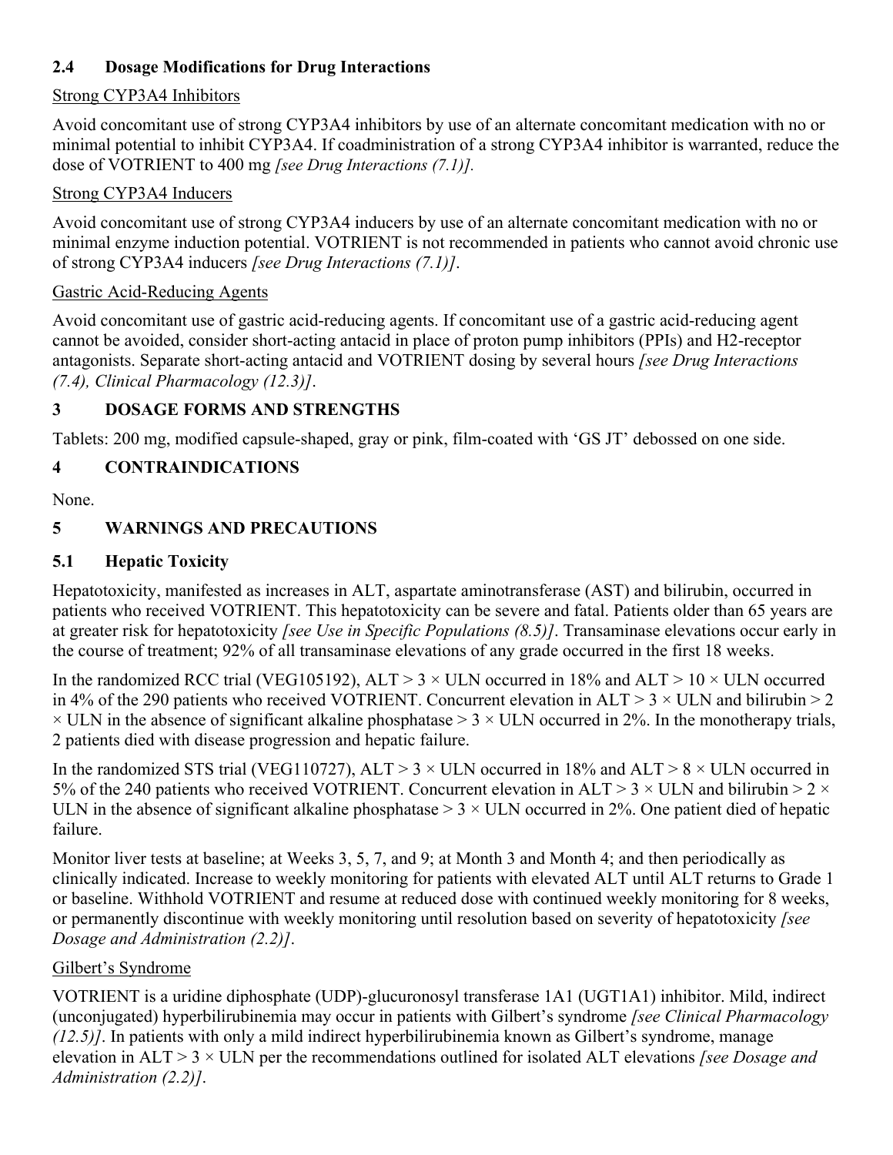### <span id="page-5-3"></span>**2.4 Dosage Modifications for Drug Interactions**

### Strong CYP3A4 Inhibitors

Avoid concomitant use of strong CYP3A4 inhibitors by use of an alternate concomitant medication with no or minimal potential to inhibit CYP3A4. If coadministration of a strong CYP3A4 inhibitor is warranted, reduce the dose of VOTRIENT to 400 mg *[see Drug Interactions (7.1)].*

#### Strong CYP3A4 Inducers

Avoid concomitant use of strong CYP3A4 inducers by use of an alternate concomitant medication with no or minimal enzyme induction potential. VOTRIENT is not recommended in patients who cannot avoid chronic use of strong CYP3A4 inducers *[see Drug Interactions (7.1)]*.

#### Gastric Acid-Reducing Agents

Avoid concomitant use of gastric acid-reducing agents. If concomitant use of a gastric acid-reducing agent cannot be avoided, consider short-acting antacid in place of proton pump inhibitors (PPIs) and H2-receptor antagonists. Separate short-acting antacid and VOTRIENT dosing by several hours *[see Drug Interactions (7.4), Clinical Pharmacology (12.3)]*.

### <span id="page-5-1"></span>**3 DOSAGE FORMS AND STRENGTHS**

Tablets: 200 mg, modified capsule-shaped, gray or pink, film-coated with 'GS JT' debossed on one side.

## <span id="page-5-2"></span>**4 CONTRAINDICATIONS**

None.

### <span id="page-5-4"></span>**5 WARNINGS AND PRECAUTIONS**

### <span id="page-5-0"></span>**5.1 Hepatic Toxicity**

Hepatotoxicity, manifested as increases in ALT, aspartate aminotransferase (AST) and bilirubin, occurred in patients who received VOTRIENT. This hepatotoxicity can be severe and fatal. Patients older than 65 years are at greater risk for hepatotoxicity *[see Use in Specific Populations (8.5)]*. Transaminase elevations occur early in the course of treatment; 92% of all transaminase elevations of any grade occurred in the first 18 weeks.

In the randomized RCC trial (VEG105192),  $ALT > 3 \times ULN$  occurred in 18% and  $ALT > 10 \times ULN$  occurred in 4% of the 290 patients who received VOTRIENT. Concurrent elevation in  $ALT > 3 \times ULN$  and bilirubin  $> 2$  $\times$  ULN in the absence of significant alkaline phosphatase  $> 3 \times$  ULN occurred in 2%. In the monotherapy trials, 2 patients died with disease progression and hepatic failure.

In the randomized STS trial (VEG110727), ALT > 3  $\times$  ULN occurred in 18% and ALT > 8  $\times$  ULN occurred in 5% of the 240 patients who received VOTRIENT. Concurrent elevation in ALT > 3  $\times$  ULN and bilirubin > 2  $\times$ ULN in the absence of significant alkaline phosphatase  $> 3 \times$  ULN occurred in 2%. One patient died of hepatic failure.

Monitor liver tests at baseline; at Weeks 3, 5, 7, and 9; at Month 3 and Month 4; and then periodically as clinically indicated. Increase to weekly monitoring for patients with elevated ALT until ALT returns to Grade 1 or baseline. Withhold VOTRIENT and resume at reduced dose with continued weekly monitoring for 8 weeks, or permanently discontinue with weekly monitoring until resolution based on severity of hepatotoxicity *[see Dosage and Administration (2.2)]*.

### Gilbert's Syndrome

VOTRIENT is a uridine diphosphate (UDP)-glucuronosyl transferase 1A1 (UGT1A1) inhibitor. Mild, indirect (unconjugated) hyperbilirubinemia may occur in patients with Gilbert's syndrome *[see Clinical Pharmacology (12.5)]*. In patients with only a mild indirect hyperbilirubinemia known as Gilbert's syndrome, manage elevation in ALT > 3 × ULN per the recommendations outlined for isolated ALT elevations *[see Dosage and Administration (2.2)]*.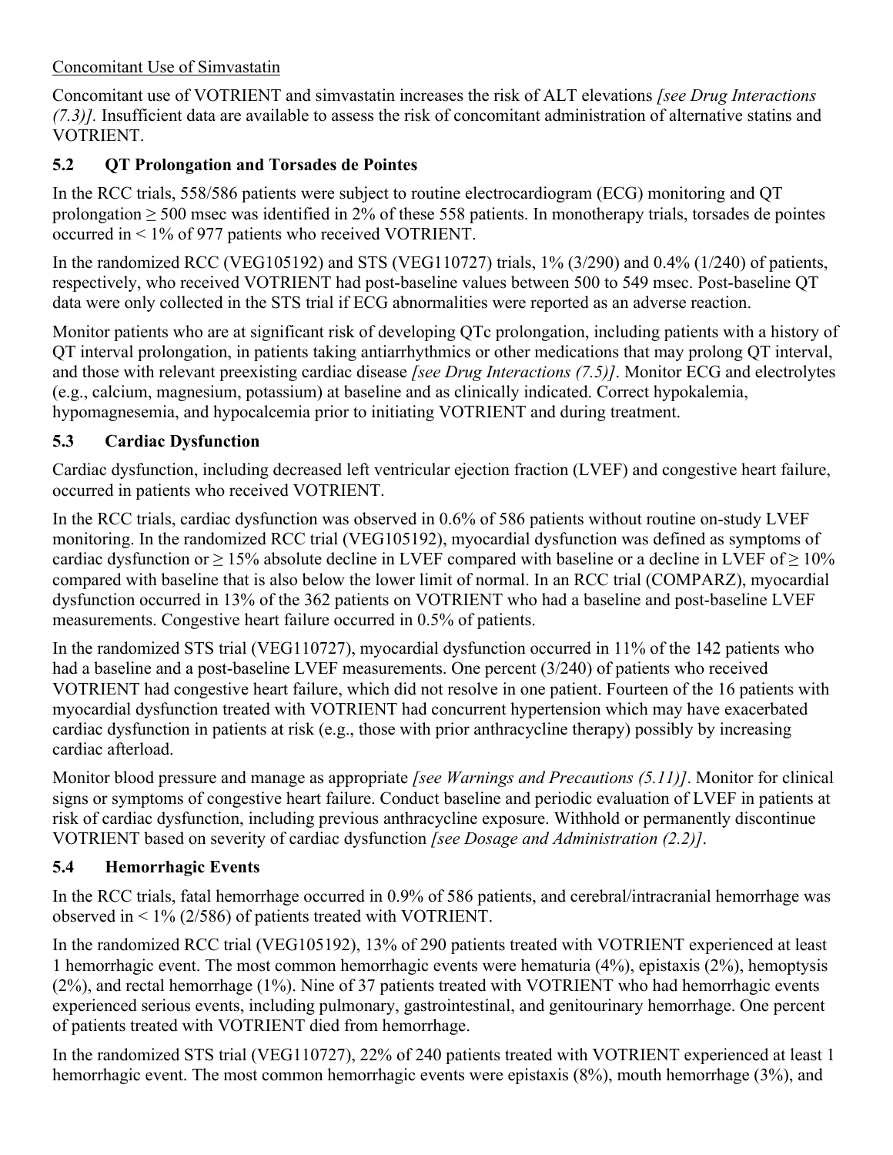### Concomitant Use of Simvastatin

Concomitant use of VOTRIENT and simvastatin increases the risk of ALT elevations *[see Drug Interactions (7.3)].* Insufficient data are available to assess the risk of concomitant administration of alternative statins and VOTRIENT.

## <span id="page-6-0"></span>**5.2 QT Prolongation and Torsades de Pointes**

In the RCC trials, 558/586 patients were subject to routine electrocardiogram (ECG) monitoring and QT prolongation ≥ 500 msec was identified in 2% of these 558 patients. In monotherapy trials, torsades de pointes occurred in < 1% of 977 patients who received VOTRIENT.

In the randomized RCC (VEG105192) and STS (VEG110727) trials, 1% (3/290) and 0.4% (1/240) of patients, respectively, who received VOTRIENT had post-baseline values between 500 to 549 msec. Post-baseline QT data were only collected in the STS trial if ECG abnormalities were reported as an adverse reaction.

Monitor patients who are at significant risk of developing QTc prolongation, including patients with a history of QT interval prolongation, in patients taking antiarrhythmics or other medications that may prolong QT interval, and those with relevant preexisting cardiac disease *[see Drug Interactions (7.5)]*. Monitor ECG and electrolytes (e.g., calcium, magnesium, potassium) at baseline and as clinically indicated. Correct hypokalemia, hypomagnesemia, and hypocalcemia prior to initiating VOTRIENT and during treatment.

## <span id="page-6-1"></span>**5.3 Cardiac Dysfunction**

Cardiac dysfunction, including decreased left ventricular ejection fraction (LVEF) and congestive heart failure, occurred in patients who received VOTRIENT.

In the RCC trials, cardiac dysfunction was observed in 0.6% of 586 patients without routine on-study LVEF monitoring. In the randomized RCC trial (VEG105192), myocardial dysfunction was defined as symptoms of cardiac dysfunction or  $\geq 15\%$  absolute decline in LVEF compared with baseline or a decline in LVEF of  $\geq 10\%$ compared with baseline that is also below the lower limit of normal. In an RCC trial (COMPARZ), myocardial dysfunction occurred in 13% of the 362 patients on VOTRIENT who had a baseline and post-baseline LVEF measurements. Congestive heart failure occurred in 0.5% of patients.

In the randomized STS trial (VEG110727), myocardial dysfunction occurred in 11% of the 142 patients who had a baseline and a post-baseline LVEF measurements. One percent (3/240) of patients who received VOTRIENT had congestive heart failure, which did not resolve in one patient. Fourteen of the 16 patients with myocardial dysfunction treated with VOTRIENT had concurrent hypertension which may have exacerbated cardiac dysfunction in patients at risk (e.g., those with prior anthracycline therapy) possibly by increasing cardiac afterload.

Monitor blood pressure and manage as appropriate *[see Warnings and Precautions (5.11)]*. Monitor for clinical signs or symptoms of congestive heart failure. Conduct baseline and periodic evaluation of LVEF in patients at risk of cardiac dysfunction, including previous anthracycline exposure. Withhold or permanently discontinue VOTRIENT based on severity of cardiac dysfunction *[see Dosage and Administration (2.2)]*.

# <span id="page-6-2"></span>**5.4 Hemorrhagic Events**

In the RCC trials, fatal hemorrhage occurred in 0.9% of 586 patients, and cerebral/intracranial hemorrhage was observed in < 1% (2/586) of patients treated with VOTRIENT.

In the randomized RCC trial (VEG105192), 13% of 290 patients treated with VOTRIENT experienced at least 1 hemorrhagic event. The most common hemorrhagic events were hematuria (4%), epistaxis (2%), hemoptysis (2%), and rectal hemorrhage (1%). Nine of 37 patients treated with VOTRIENT who had hemorrhagic events experienced serious events, including pulmonary, gastrointestinal, and genitourinary hemorrhage. One percent of patients treated with VOTRIENT died from hemorrhage.

In the randomized STS trial (VEG110727), 22% of 240 patients treated with VOTRIENT experienced at least 1 hemorrhagic event. The most common hemorrhagic events were epistaxis (8%), mouth hemorrhage (3%), and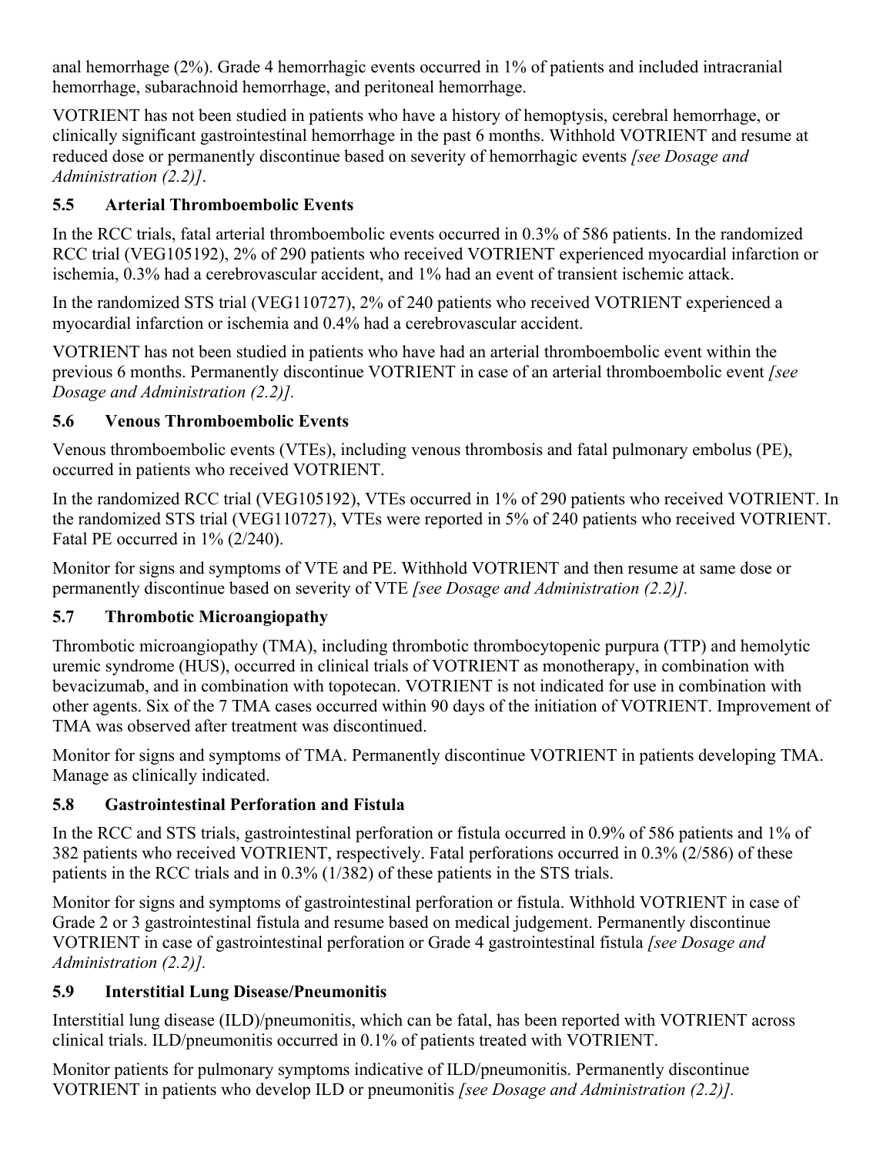anal hemorrhage (2%). Grade 4 hemorrhagic events occurred in 1% of patients and included intracranial hemorrhage, subarachnoid hemorrhage, and peritoneal hemorrhage.

VOTRIENT has not been studied in patients who have a history of hemoptysis, cerebral hemorrhage, or clinically significant gastrointestinal hemorrhage in the past 6 months. Withhold VOTRIENT and resume at reduced dose or permanently discontinue based on severity of hemorrhagic events *[see Dosage and Administration (2.2)]*.

# <span id="page-7-0"></span>**5.5 Arterial Thromboembolic Events**

In the RCC trials, fatal arterial thromboembolic events occurred in 0.3% of 586 patients. In the randomized RCC trial (VEG105192), 2% of 290 patients who received VOTRIENT experienced myocardial infarction or ischemia, 0.3% had a cerebrovascular accident, and 1% had an event of transient ischemic attack.

In the randomized STS trial (VEG110727), 2% of 240 patients who received VOTRIENT experienced a myocardial infarction or ischemia and 0.4% had a cerebrovascular accident.

VOTRIENT has not been studied in patients who have had an arterial thromboembolic event within the previous 6 months. Permanently discontinue VOTRIENT in case of an arterial thromboembolic event *[see Dosage and Administration (2.2)].*

## <span id="page-7-1"></span>**5.6 Venous Thromboembolic Events**

Venous thromboembolic events (VTEs), including venous thrombosis and fatal pulmonary embolus (PE), occurred in patients who received VOTRIENT.

In the randomized RCC trial (VEG105192), VTEs occurred in 1% of 290 patients who received VOTRIENT. In the randomized STS trial (VEG110727), VTEs were reported in 5% of 240 patients who received VOTRIENT. Fatal PE occurred in 1% (2/240).

Monitor for signs and symptoms of VTE and PE. Withhold VOTRIENT and then resume at same dose or permanently discontinue based on severity of VTE *[see Dosage and Administration (2.2)].*

## <span id="page-7-2"></span>**5.7 Thrombotic Microangiopathy**

Thrombotic microangiopathy (TMA), including thrombotic thrombocytopenic purpura (TTP) and hemolytic uremic syndrome (HUS), occurred in clinical trials of VOTRIENT as monotherapy, in combination with bevacizumab, and in combination with topotecan. VOTRIENT is not indicated for use in combination with other agents. Six of the 7 TMA cases occurred within 90 days of the initiation of VOTRIENT. Improvement of TMA was observed after treatment was discontinued.

Monitor for signs and symptoms of TMA. Permanently discontinue VOTRIENT in patients developing TMA. Manage as clinically indicated.

## <span id="page-7-3"></span>**5.8 Gastrointestinal Perforation and Fistula**

In the RCC and STS trials, gastrointestinal perforation or fistula occurred in 0.9% of 586 patients and 1% of 382 patients who received VOTRIENT, respectively. Fatal perforations occurred in 0.3% (2/586) of these patients in the RCC trials and in 0.3% (1/382) of these patients in the STS trials.

Monitor for signs and symptoms of gastrointestinal perforation or fistula. Withhold VOTRIENT in case of Grade 2 or 3 gastrointestinal fistula and resume based on medical judgement. Permanently discontinue VOTRIENT in case of gastrointestinal perforation or Grade 4 gastrointestinal fistula *[see Dosage and Administration (2.2)].*

## <span id="page-7-4"></span>**5.9 Interstitial Lung Disease/Pneumonitis**

Interstitial lung disease (ILD)/pneumonitis, which can be fatal, has been reported with VOTRIENT across clinical trials. ILD/pneumonitis occurred in 0.1% of patients treated with VOTRIENT.

Monitor patients for pulmonary symptoms indicative of ILD/pneumonitis. Permanently discontinue VOTRIENT in patients who develop ILD or pneumonitis *[see Dosage and Administration (2.2)].*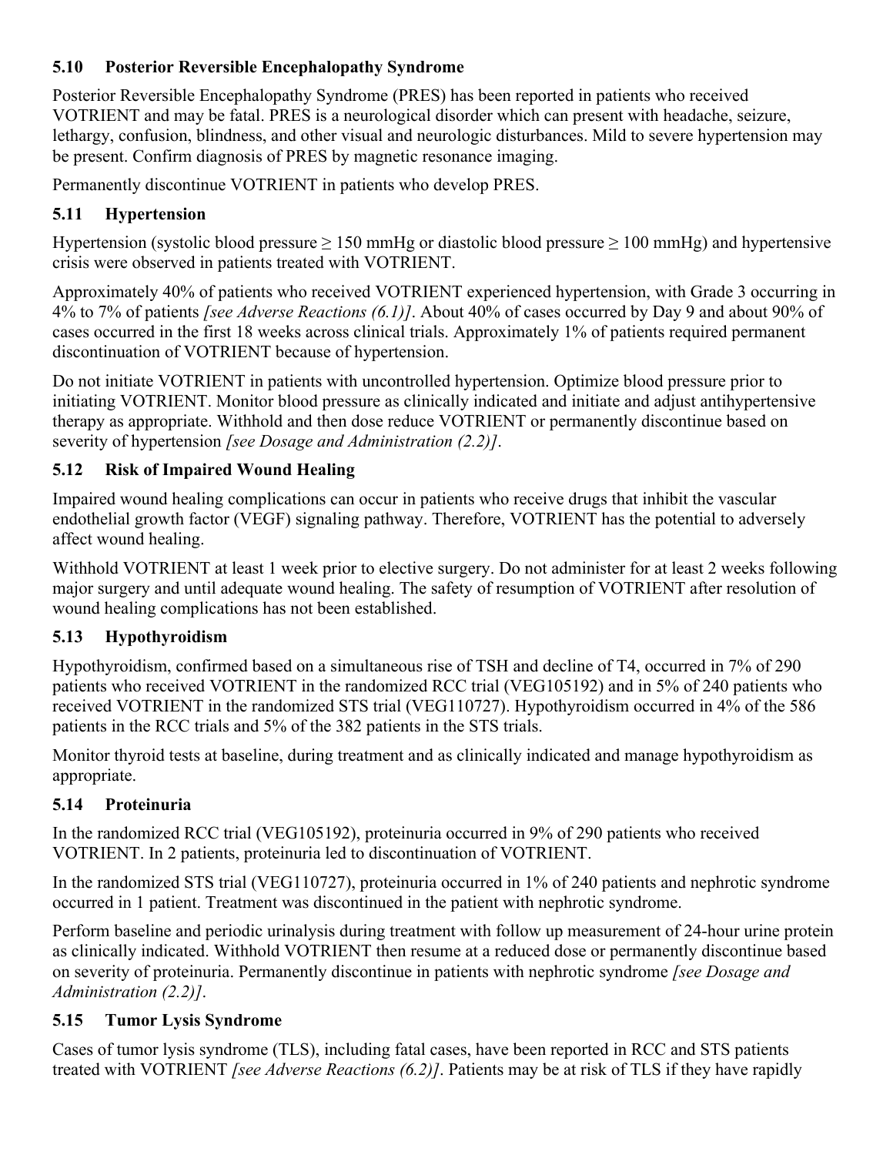### <span id="page-8-0"></span>**5.10 Posterior Reversible Encephalopathy Syndrome**

Posterior Reversible Encephalopathy Syndrome (PRES) has been reported in patients who received VOTRIENT and may be fatal. PRES is a neurological disorder which can present with headache, seizure, lethargy, confusion, blindness, and other visual and neurologic disturbances. Mild to severe hypertension may be present. Confirm diagnosis of PRES by magnetic resonance imaging.

Permanently discontinue VOTRIENT in patients who develop PRES.

## <span id="page-8-1"></span>**5.11 Hypertension**

Hypertension (systolic blood pressure  $\geq 150$  mmHg or diastolic blood pressure  $\geq 100$  mmHg) and hypertensive crisis were observed in patients treated with VOTRIENT.

Approximately 40% of patients who received VOTRIENT experienced hypertension, with Grade 3 occurring in 4% to 7% of patients *[see Adverse Reactions (6.1)]*. About 40% of cases occurred by Day 9 and about 90% of cases occurred in the first 18 weeks across clinical trials. Approximately 1% of patients required permanent discontinuation of VOTRIENT because of hypertension.

Do not initiate VOTRIENT in patients with uncontrolled hypertension. Optimize blood pressure prior to initiating VOTRIENT. Monitor blood pressure as clinically indicated and initiate and adjust antihypertensive therapy as appropriate. Withhold and then dose reduce VOTRIENT or permanently discontinue based on severity of hypertension *[see Dosage and Administration (2.2)]*.

# <span id="page-8-2"></span>**5.12 Risk of Impaired Wound Healing**

Impaired wound healing complications can occur in patients who receive drugs that inhibit the vascular endothelial growth factor (VEGF) signaling pathway. Therefore, VOTRIENT has the potential to adversely affect wound healing.

Withhold VOTRIENT at least 1 week prior to elective surgery. Do not administer for at least 2 weeks following major surgery and until adequate wound healing. The safety of resumption of VOTRIENT after resolution of wound healing complications has not been established.

## <span id="page-8-3"></span>**5.13 Hypothyroidism**

Hypothyroidism, confirmed based on a simultaneous rise of TSH and decline of T4, occurred in 7% of 290 patients who received VOTRIENT in the randomized RCC trial (VEG105192) and in 5% of 240 patients who received VOTRIENT in the randomized STS trial (VEG110727). Hypothyroidism occurred in 4% of the 586 patients in the RCC trials and 5% of the 382 patients in the STS trials.

Monitor thyroid tests at baseline, during treatment and as clinically indicated and manage hypothyroidism as appropriate.

# <span id="page-8-4"></span>**5.14 Proteinuria**

In the randomized RCC trial (VEG105192), proteinuria occurred in 9% of 290 patients who received VOTRIENT. In 2 patients, proteinuria led to discontinuation of VOTRIENT.

In the randomized STS trial (VEG110727), proteinuria occurred in 1% of 240 patients and nephrotic syndrome occurred in 1 patient. Treatment was discontinued in the patient with nephrotic syndrome.

Perform baseline and periodic urinalysis during treatment with follow up measurement of 24-hour urine protein as clinically indicated. Withhold VOTRIENT then resume at a reduced dose or permanently discontinue based on severity of proteinuria. Permanently discontinue in patients with nephrotic syndrome *[see Dosage and Administration (2.2)]*.

## <span id="page-8-5"></span>**5.15 Tumor Lysis Syndrome**

Cases of tumor lysis syndrome (TLS), including fatal cases, have been reported in RCC and STS patients treated with VOTRIENT *[see Adverse Reactions (6.2)]*. Patients may be at risk of TLS if they have rapidly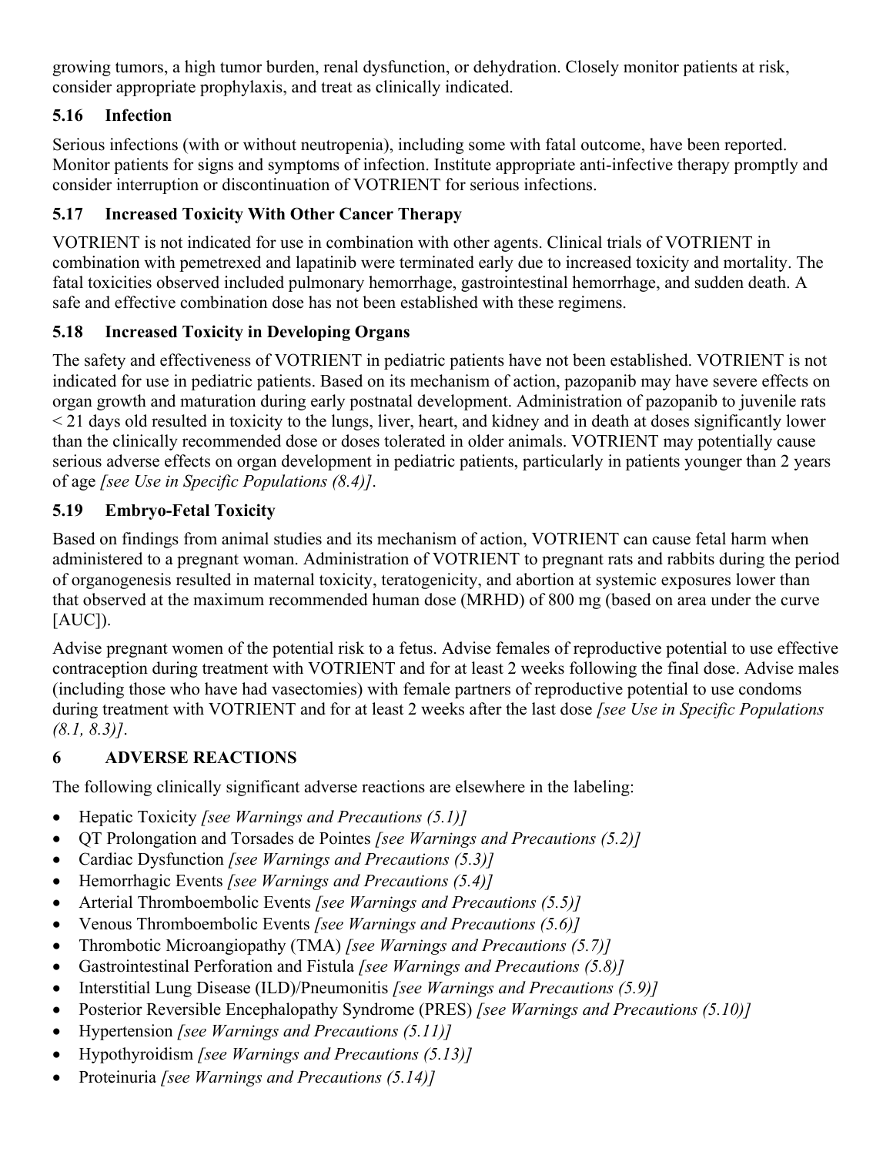growing tumors, a high tumor burden, renal dysfunction, or dehydration. Closely monitor patients at risk, consider appropriate prophylaxis, and treat as clinically indicated.

# <span id="page-9-0"></span>**5.16 Infection**

Serious infections (with or without neutropenia), including some with fatal outcome, have been reported. Monitor patients for signs and symptoms of infection. Institute appropriate anti-infective therapy promptly and consider interruption or discontinuation of VOTRIENT for serious infections.

# <span id="page-9-2"></span>**5.17 Increased Toxicity With Other Cancer Therapy**

VOTRIENT is not indicated for use in combination with other agents. Clinical trials of VOTRIENT in combination with pemetrexed and lapatinib were terminated early due to increased toxicity and mortality. The fatal toxicities observed included pulmonary hemorrhage, gastrointestinal hemorrhage, and sudden death. A safe and effective combination dose has not been established with these regimens.

## <span id="page-9-3"></span>**5.18 Increased Toxicity in Developing Organs**

The safety and effectiveness of VOTRIENT in pediatric patients have not been established. VOTRIENT is not indicated for use in pediatric patients. Based on its mechanism of action, pazopanib may have severe effects on organ growth and maturation during early postnatal development. Administration of pazopanib to juvenile rats < 21 days old resulted in toxicity to the lungs, liver, heart, and kidney and in death at doses significantly lower than the clinically recommended dose or doses tolerated in older animals. VOTRIENT may potentially cause serious adverse effects on organ development in pediatric patients, particularly in patients younger than 2 years of age *[see Use in Specific Populations (8.4)]*.

## <span id="page-9-1"></span>**5.19 Embryo-Fetal Toxicity**

Based on findings from animal studies and its mechanism of action, VOTRIENT can cause fetal harm when administered to a pregnant woman. Administration of VOTRIENT to pregnant rats and rabbits during the period of organogenesis resulted in maternal toxicity, teratogenicity, and abortion at systemic exposures lower than that observed at the maximum recommended human dose (MRHD) of 800 mg (based on area under the curve  $[AUC]$ ).

Advise pregnant women of the potential risk to a fetus. Advise females of reproductive potential to use effective contraception during treatment with VOTRIENT and for at least 2 weeks following the final dose. Advise males (including those who have had vasectomies) with female partners of reproductive potential to use condoms during treatment with VOTRIENT and for at least 2 weeks after the last dose *[see Use in Specific Populations (8.1, 8.3)]*.

## <span id="page-9-4"></span>**6 ADVERSE REACTIONS**

The following clinically significant adverse reactions are elsewhere in the labeling:

- Hepatic Toxicity *[see Warnings and Precautions (5.1)]*
- QT Prolongation and Torsades de Pointes *[see Warnings and Precautions (5.2)]*
- Cardiac Dysfunction *[see Warnings and Precautions (5.3)]*
- Hemorrhagic Events *[see Warnings and Precautions (5.4)]*
- Arterial Thromboembolic Events *[see Warnings and Precautions (5.5)]*
- Venous Thromboembolic Events *[see Warnings and Precautions (5.6)]*
- Thrombotic Microangiopathy (TMA) *[see Warnings and Precautions (5.7)]*
- Gastrointestinal Perforation and Fistula *[see Warnings and Precautions (5.8)]*
- Interstitial Lung Disease (ILD)/Pneumonitis *[see Warnings and Precautions (5.9)]*
- Posterior Reversible Encephalopathy Syndrome (PRES) *[see Warnings and Precautions (5.10)]*
- Hypertension *[see Warnings and Precautions (5.11)]*
- Hypothyroidism *[see Warnings and Precautions (5.13)]*
- Proteinuria *[see Warnings and Precautions (5.14)]*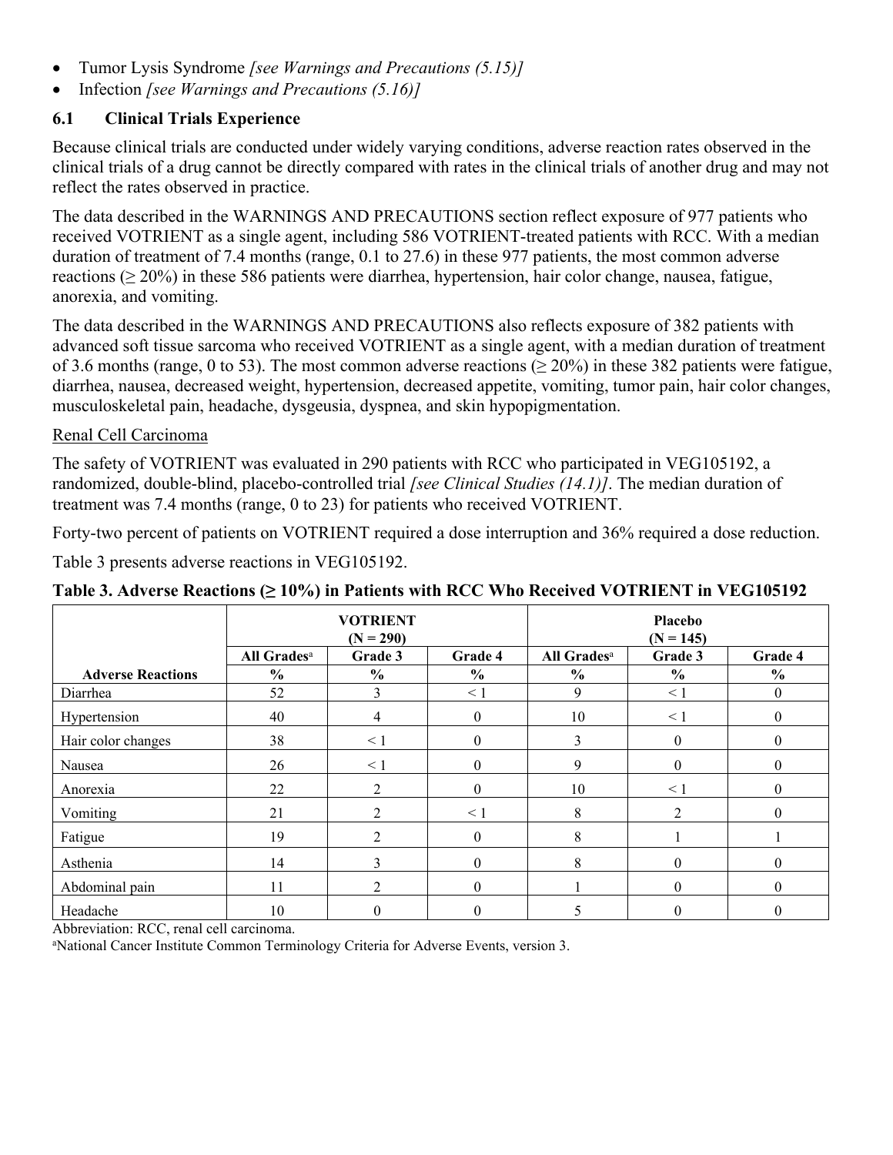- Tumor Lysis Syndrome *[see Warnings and Precautions (5.15)]*
- Infection *[see Warnings and Precautions (5.16)]*

### <span id="page-10-0"></span>**6.1 Clinical Trials Experience**

Because clinical trials are conducted under widely varying conditions, adverse reaction rates observed in the clinical trials of a drug cannot be directly compared with rates in the clinical trials of another drug and may not reflect the rates observed in practice.

The data described in the WARNINGS AND PRECAUTIONS section reflect exposure of 977 patients who received VOTRIENT as a single agent, including 586 VOTRIENT-treated patients with RCC. With a median duration of treatment of 7.4 months (range, 0.1 to 27.6) in these 977 patients, the most common adverse reactions ( $\geq$  20%) in these 586 patients were diarrhea, hypertension, hair color change, nausea, fatigue, anorexia, and vomiting.

The data described in the WARNINGS AND PRECAUTIONS also reflects exposure of 382 patients with advanced soft tissue sarcoma who received VOTRIENT as a single agent, with a median duration of treatment of 3.6 months (range, 0 to 53). The most common adverse reactions ( $\geq$  20%) in these 382 patients were fatigue, diarrhea, nausea, decreased weight, hypertension, decreased appetite, vomiting, tumor pain, hair color changes, musculoskeletal pain, headache, dysgeusia, dyspnea, and skin hypopigmentation.

#### Renal Cell Carcinoma

The safety of VOTRIENT was evaluated in 290 patients with RCC who participated in VEG105192, a randomized, double-blind, placebo-controlled trial *[see Clinical Studies (14.1)]*. The median duration of treatment was 7.4 months (range, 0 to 23) for patients who received VOTRIENT.

Forty-two percent of patients on VOTRIENT required a dose interruption and 36% required a dose reduction.

Table 3 presents adverse reactions in VEG105192.

|                          | <b>VOTRIENT</b><br>$(N = 290)$ |               |               | Placebo<br>$(N = 145)$  |                  |                  |
|--------------------------|--------------------------------|---------------|---------------|-------------------------|------------------|------------------|
|                          | All Grades <sup>a</sup>        | Grade 3       | Grade 4       | All Grades <sup>a</sup> | Grade 3          | Grade 4          |
| <b>Adverse Reactions</b> | $\frac{6}{6}$                  | $\frac{6}{9}$ | $\frac{6}{9}$ | $\frac{0}{0}$           | $\frac{6}{9}$    | $\frac{6}{6}$    |
| Diarrhea                 | 52                             |               | $\leq 1$      | 9                       | $\leq 1$         | $\boldsymbol{0}$ |
| Hypertension             | 40                             | 4             | $\theta$      | 10                      | < 1              | $\boldsymbol{0}$ |
| Hair color changes       | 38                             | $\leq 1$      | $\Omega$      | 3                       | $\theta$         | $\theta$         |
| Nausea                   | 26                             | $\leq 1$      | $\Omega$      | 9                       | $\theta$         | $\theta$         |
| Anorexia                 | 22                             | 2             | $\Omega$      | 10                      | $\leq 1$         | $\theta$         |
| Vomiting                 | 21                             |               | $\leq$ 1      | 8                       | 2                | $\overline{0}$   |
| Fatigue                  | 19                             | 2             | $\theta$      | 8                       |                  |                  |
| Asthenia                 | 14                             | ◠             | $\Omega$      | 8                       | $\boldsymbol{0}$ | $\overline{0}$   |
| Abdominal pain           | 11                             | າ             | $\Omega$      |                         | $\theta$         | $\theta$         |
| Headache                 | 10                             |               |               |                         | 0                | $\theta$         |

## **Table 3. Adverse Reactions (≥ 10%) in Patients with RCC Who Received VOTRIENT in VEG105192**

Abbreviation: RCC, renal cell carcinoma.

aNational Cancer Institute Common Terminology Criteria for Adverse Events, version 3.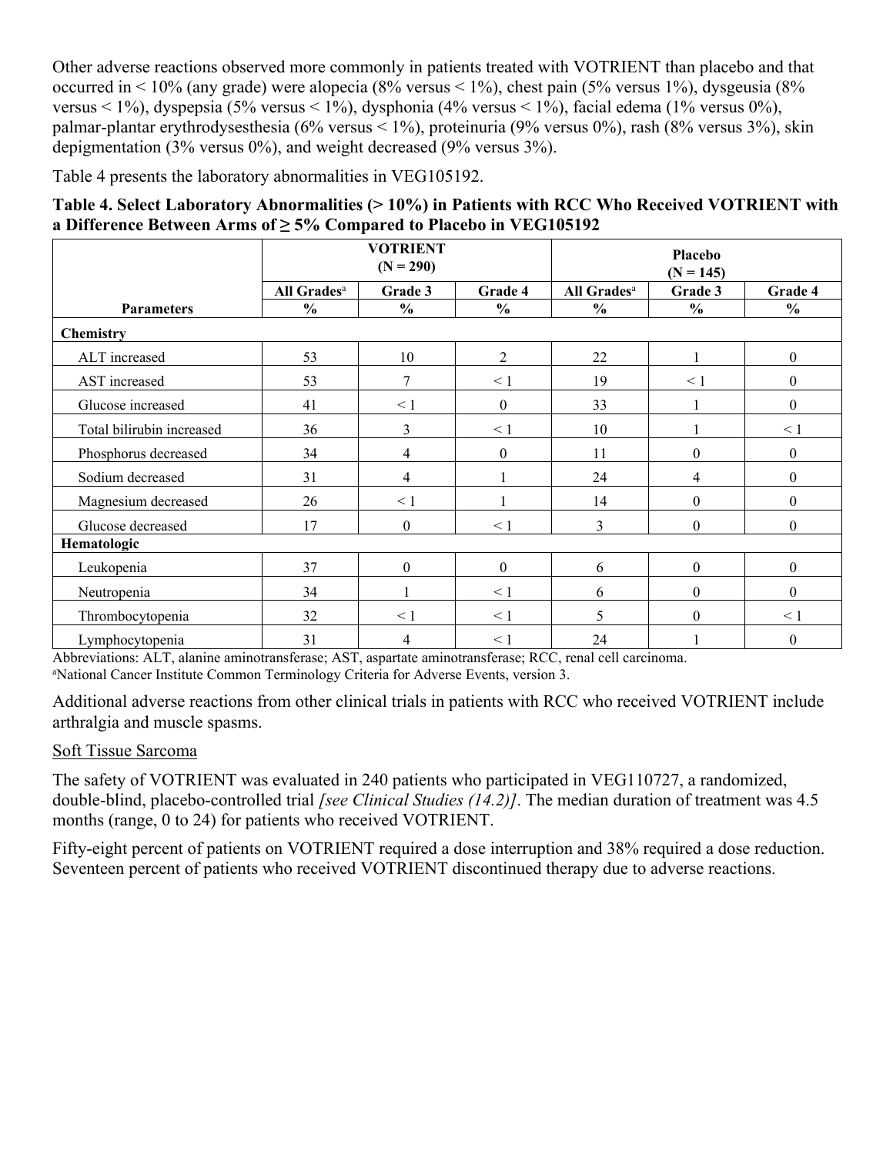Other adverse reactions observed more commonly in patients treated with VOTRIENT than placebo and that occurred in < 10% (any grade) were alopecia (8% versus < 1%), chest pain (5% versus 1%), dysgeusia (8% versus < 1%), dyspepsia (5% versus < 1%), dysphonia (4% versus < 1%), facial edema (1% versus 0%), palmar-plantar erythrodysesthesia (6% versus < 1%), proteinuria (9% versus 0%), rash (8% versus 3%), skin depigmentation (3% versus 0%), and weight decreased (9% versus 3%).

Table 4 presents the laboratory abnormalities in VEG105192.

| Table 4. Select Laboratory Abnormalities (>10%) in Patients with RCC Who Received VOTRIENT with |
|-------------------------------------------------------------------------------------------------|
| a Difference Between Arms of $\geq$ 5% Compared to Placebo in VEG105192                         |

|                           |                         | <b>VOTRIENT</b><br>$(N = 290)$ |                  | Placebo<br>$(N = 145)$  |               |                  |
|---------------------------|-------------------------|--------------------------------|------------------|-------------------------|---------------|------------------|
|                           | All Grades <sup>a</sup> | Grade 3                        | Grade 4          | All Grades <sup>a</sup> | Grade 3       | Grade 4          |
| <b>Parameters</b>         | $\frac{6}{6}$           | $\frac{0}{0}$                  | $\frac{6}{6}$    | $\frac{0}{0}$           | $\frac{0}{0}$ | $\frac{0}{0}$    |
| Chemistry                 |                         |                                |                  |                         |               |                  |
| ALT increased             | 53                      | 10                             | $\overline{2}$   | 22                      |               | $\boldsymbol{0}$ |
| AST increased             | 53                      | 7                              | $\leq 1$         | 19                      | $\leq 1$      | $\boldsymbol{0}$ |
| Glucose increased         | 41                      | $\leq 1$                       | $\boldsymbol{0}$ | 33                      |               | $\theta$         |
| Total bilirubin increased | 36                      | 3                              | $\leq 1$         | 10                      |               | $\leq 1$         |
| Phosphorus decreased      | 34                      | 4                              | $\mathbf{0}$     | 11                      | $\theta$      | $\mathbf{0}$     |
| Sodium decreased          | 31                      | 4                              |                  | 24                      | 4             | $\boldsymbol{0}$ |
| Magnesium decreased       | 26                      | $\leq 1$                       |                  | 14                      | $\theta$      | $\boldsymbol{0}$ |
| Glucose decreased         | 17                      | $\theta$                       | $\leq 1$         | 3                       | $\theta$      | $\theta$         |
| Hematologic               |                         |                                |                  |                         |               |                  |
| Leukopenia                | 37                      | $\theta$                       | $\boldsymbol{0}$ | 6                       | $\theta$      | $\boldsymbol{0}$ |
| Neutropenia               | 34                      |                                | $\leq 1$         | 6                       | $\theta$      | $\theta$         |
| Thrombocytopenia          | 32                      | $\leq 1$                       | $\leq 1$         | 5                       | $\Omega$      | $\leq 1$         |
| Lymphocytopenia           | 31                      | 4                              | $\leq 1$         | 24                      |               | $\boldsymbol{0}$ |

Abbreviations: ALT, alanine aminotransferase; AST, aspartate aminotransferase; RCC, renal cell carcinoma. <sup>a</sup>National Cancer Institute Common Terminology Criteria for Adverse Events, version 3.

Additional adverse reactions from other clinical trials in patients with RCC who received VOTRIENT include arthralgia and muscle spasms.

#### Soft Tissue Sarcoma

The safety of VOTRIENT was evaluated in 240 patients who participated in VEG110727, a randomized, double-blind, placebo-controlled trial *[see Clinical Studies (14.2)]*. The median duration of treatment was 4.5 months (range, 0 to 24) for patients who received VOTRIENT.

Fifty-eight percent of patients on VOTRIENT required a dose interruption and 38% required a dose reduction. Seventeen percent of patients who received VOTRIENT discontinued therapy due to adverse reactions.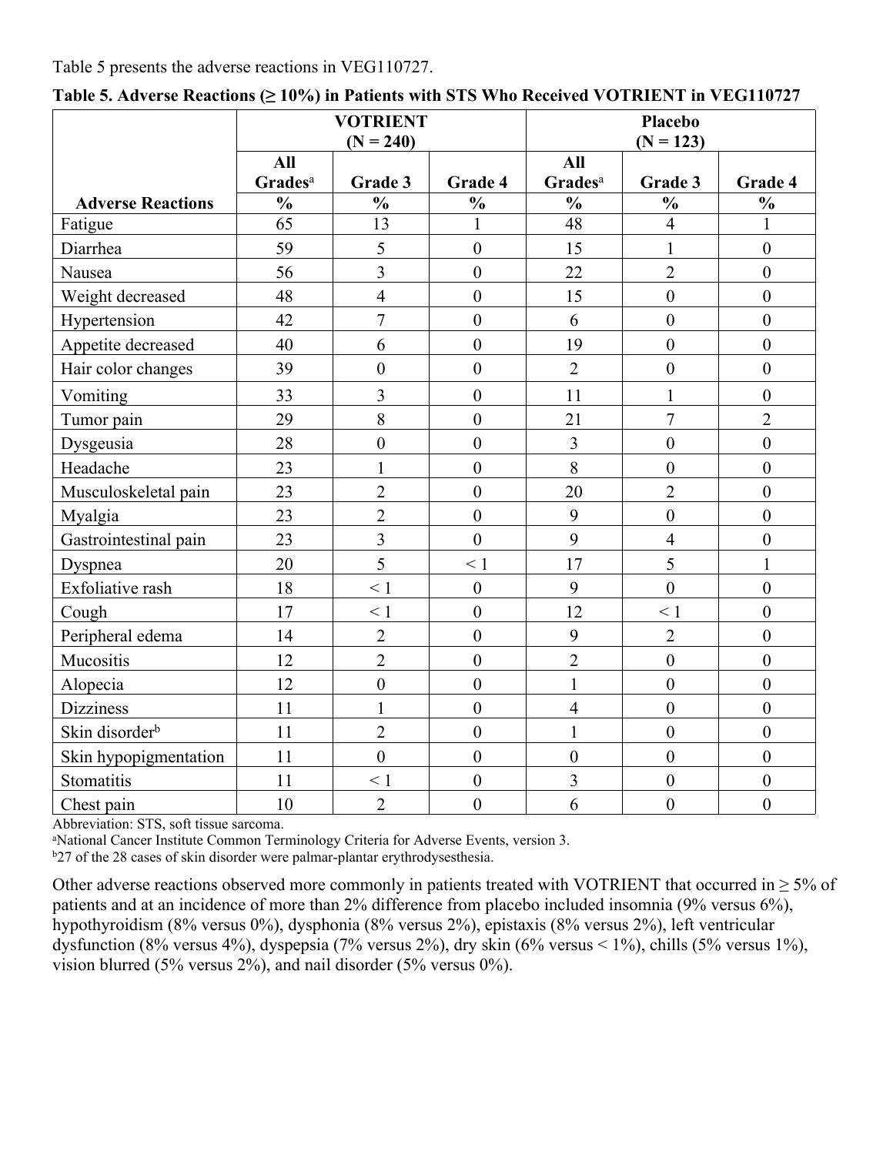#### Table 5 presents the adverse reactions in VEG110727.

|                            | <b>VOTRIENT</b><br>$(N = 240)$    |                         | <b>Placebo</b><br>$(N = 123)$ |                            |                  |                  |
|----------------------------|-----------------------------------|-------------------------|-------------------------------|----------------------------|------------------|------------------|
|                            | <b>All</b><br>Grades <sup>a</sup> | Grade 3                 | Grade 4                       | All<br>Grades <sup>a</sup> | Grade 3          | Grade 4          |
| <b>Adverse Reactions</b>   | $\frac{0}{0}$                     | $\frac{0}{0}$           | $\frac{0}{0}$                 | $\frac{0}{0}$              | $\frac{0}{0}$    | $\frac{0}{0}$    |
| Fatigue                    | 65                                | 13                      | 1                             | 48                         | $\overline{4}$   | 1                |
| Diarrhea                   | 59                                | 5                       | $\mathbf{0}$                  | 15                         | $\mathbf{1}$     | $\mathbf{0}$     |
| Nausea                     | 56                                | $\overline{3}$          | $\overline{0}$                | 22                         | $\overline{2}$   | $\mathbf{0}$     |
| Weight decreased           | 48                                | $\overline{4}$          | $\mathbf{0}$                  | 15                         | $\boldsymbol{0}$ | $\boldsymbol{0}$ |
| Hypertension               | 42                                | $\overline{7}$          | $\overline{0}$                | 6                          | $\overline{0}$   | $\boldsymbol{0}$ |
| Appetite decreased         | 40                                | 6                       | $\mathbf{0}$                  | 19                         | $\mathbf{0}$     | $\mathbf{0}$     |
| Hair color changes         | 39                                | $\boldsymbol{0}$        | $\mathbf{0}$                  | $\overline{2}$             | $\mathbf{0}$     | $\overline{0}$   |
| Vomiting                   | 33                                | 3                       | $\boldsymbol{0}$              | 11                         | 1                | $\boldsymbol{0}$ |
| Tumor pain                 | 29                                | 8                       | $\mathbf{0}$                  | 21                         | $\overline{7}$   | $\overline{2}$   |
| Dysgeusia                  | 28                                | $\boldsymbol{0}$        | $\boldsymbol{0}$              | $\overline{3}$             | $\boldsymbol{0}$ | $\boldsymbol{0}$ |
| Headache                   | 23                                | $\mathbf{1}$            | $\mathbf{0}$                  | 8                          | $\overline{0}$   | $\overline{0}$   |
| Musculoskeletal pain       | 23                                | $\overline{2}$          | $\mathbf{0}$                  | 20                         | $\overline{2}$   | $\mathbf{0}$     |
| Myalgia                    | 23                                | $\overline{2}$          | $\overline{0}$                | 9                          | $\overline{0}$   | $\boldsymbol{0}$ |
| Gastrointestinal pain      | 23                                | $\overline{\mathbf{3}}$ | $\overline{0}$                | 9                          | $\overline{4}$   | $\mathbf{0}$     |
| Dyspnea                    | 20                                | 5                       | $\leq 1$                      | 17                         | 5                | $\mathbf{1}$     |
| Exfoliative rash           | 18                                | $\leq 1$                | $\overline{0}$                | 9                          | $\overline{0}$   | $\overline{0}$   |
| Cough                      | 17                                | $\leq 1$                | $\mathbf{0}$                  | 12                         | $\leq 1$         | $\mathbf{0}$     |
| Peripheral edema           | 14                                | $\overline{2}$          | $\overline{0}$                | 9                          | $\overline{2}$   | $\mathbf{0}$     |
| Mucositis                  | 12                                | $\overline{2}$          | $\mathbf{0}$                  | $\overline{2}$             | $\boldsymbol{0}$ | $\mathbf{0}$     |
| Alopecia                   | 12                                | $\boldsymbol{0}$        | $\overline{0}$                | $\mathbf{1}$               | $\overline{0}$   | $\boldsymbol{0}$ |
| <b>Dizziness</b>           | 11                                | $\mathbf{1}$            | $\mathbf{0}$                  | $\overline{4}$             | $\mathbf{0}$     | $\mathbf{0}$     |
| Skin disorder <sup>b</sup> | 11                                | $\overline{2}$          | $\mathbf{0}$                  | $\mathbf{1}$               | $\boldsymbol{0}$ | $\overline{0}$   |
| Skin hypopigmentation      | 11                                | $\overline{0}$          | $\mathbf{0}$                  | $\mathbf{0}$               | $\mathbf{0}$     | $\mathbf{0}$     |
| Stomatitis                 | 11                                | $\leq 1$                | $\boldsymbol{0}$              | $\overline{\mathbf{3}}$    | $\mathbf{0}$     | $\boldsymbol{0}$ |
| Chest pain                 | 10                                | $\overline{2}$          | $\overline{0}$                | 6                          | $\overline{0}$   | $\mathbf{0}$     |

**Table 5. Adverse Reactions (≥ 10%) in Patients with STS Who Received VOTRIENT in VEG110727**

Abbreviation: STS, soft tissue sarcoma.

<sup>a</sup>National Cancer Institute Common Terminology Criteria for Adverse Events, version 3.

b<sub>27</sub> of the 28 cases of skin disorder were palmar-plantar erythrodysesthesia.

Other adverse reactions observed more commonly in patients treated with VOTRIENT that occurred in  $\geq$  5% of patients and at an incidence of more than 2% difference from placebo included insomnia (9% versus 6%), hypothyroidism (8% versus 0%), dysphonia (8% versus 2%), epistaxis (8% versus 2%), left ventricular dysfunction (8% versus 4%), dyspepsia (7% versus 2%), dry skin (6% versus < 1%), chills (5% versus 1%), vision blurred (5% versus 2%), and nail disorder (5% versus 0%).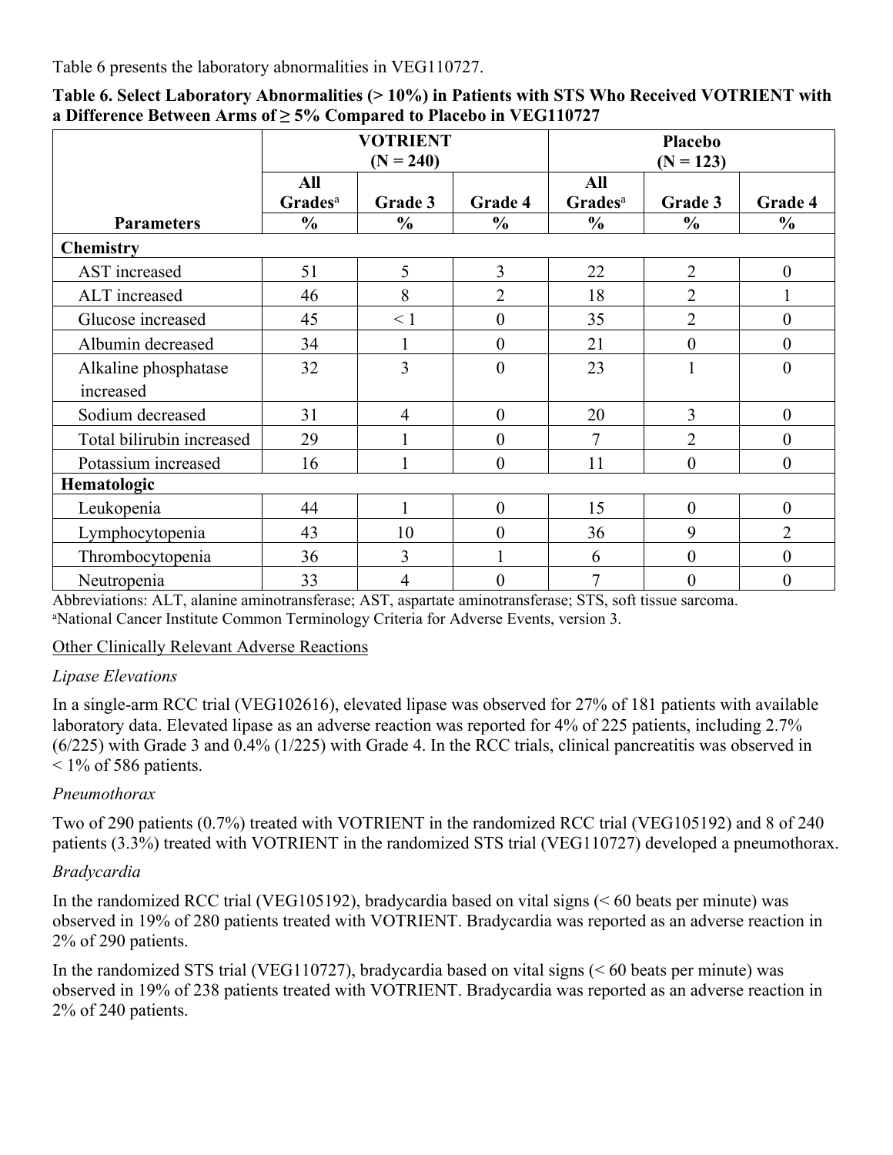Table 6 presents the laboratory abnormalities in VEG110727.

|                           | <b>VOTRIENT</b><br>$(N = 240)$ |                |                  | Placebo<br>$(N = 123)$     |                  |                  |
|---------------------------|--------------------------------|----------------|------------------|----------------------------|------------------|------------------|
|                           | All<br>Grades <sup>a</sup>     | Grade 3        | Grade 4          | All<br>Grades <sup>a</sup> | Grade 3          | Grade 4          |
| <b>Parameters</b>         | $\frac{6}{6}$                  | $\frac{6}{6}$  | $\frac{0}{0}$    | $\frac{6}{6}$              | $\frac{0}{0}$    | $\frac{0}{0}$    |
| <b>Chemistry</b>          |                                |                |                  |                            |                  |                  |
| AST increased             | 51                             | 5              | 3                | 22                         | $\overline{2}$   | $\boldsymbol{0}$ |
| ALT increased             | 46                             | 8              | $\overline{2}$   | 18                         | $\overline{2}$   | $\mathbf{1}$     |
| Glucose increased         | 45                             | $\leq 1$       | $\boldsymbol{0}$ | 35                         | $\overline{2}$   | $\boldsymbol{0}$ |
| Albumin decreased         | 34                             |                | $\mathbf{0}$     | 21                         | $\overline{0}$   | $\boldsymbol{0}$ |
| Alkaline phosphatase      | 32                             | 3              | $\theta$         | 23                         |                  | $\mathbf{0}$     |
| increased                 |                                |                |                  |                            |                  |                  |
| Sodium decreased          | 31                             | $\overline{4}$ | $\theta$         | 20                         | 3                | $\mathbf{0}$     |
| Total bilirubin increased | 29                             |                | $\theta$         | 7                          | $\overline{2}$   | $\boldsymbol{0}$ |
| Potassium increased       | 16                             |                | $\theta$         | 11                         | $\theta$         | $\boldsymbol{0}$ |
| Hematologic               |                                |                |                  |                            |                  |                  |
| Leukopenia                | 44                             |                | $\mathbf{0}$     | 15                         | $\boldsymbol{0}$ | $\boldsymbol{0}$ |
| Lymphocytopenia           | 43                             | 10             | $\mathbf{0}$     | 36                         | 9                | $\overline{2}$   |
| Thrombocytopenia          | 36                             | $\overline{3}$ |                  | 6                          | $\overline{0}$   | $\boldsymbol{0}$ |
| Neutropenia               | 33                             | $\overline{4}$ | $\boldsymbol{0}$ | 7                          | $\boldsymbol{0}$ | $\boldsymbol{0}$ |

**Table 6. Select Laboratory Abnormalities (> 10%) in Patients with STS Who Received VOTRIENT with a Difference Between Arms of ≥ 5% Compared to Placebo in VEG110727**

Abbreviations: ALT, alanine aminotransferase; AST, aspartate aminotransferase; STS, soft tissue sarcoma. <sup>a</sup>National Cancer Institute Common Terminology Criteria for Adverse Events, version 3.

Other Clinically Relevant Adverse Reactions

### *Lipase Elevations*

In a single-arm RCC trial (VEG102616), elevated lipase was observed for 27% of 181 patients with available laboratory data. Elevated lipase as an adverse reaction was reported for 4% of 225 patients, including 2.7% (6/225) with Grade 3 and 0.4% (1/225) with Grade 4. In the RCC trials, clinical pancreatitis was observed in  $\leq$  1% of 586 patients.

## *Pneumothorax*

Two of 290 patients (0.7%) treated with VOTRIENT in the randomized RCC trial (VEG105192) and 8 of 240 patients (3.3%) treated with VOTRIENT in the randomized STS trial (VEG110727) developed a pneumothorax.

## *Bradycardia*

In the randomized RCC trial (VEG105192), bradycardia based on vital signs (< 60 beats per minute) was observed in 19% of 280 patients treated with VOTRIENT. Bradycardia was reported as an adverse reaction in 2% of 290 patients.

In the randomized STS trial (VEG110727), bradycardia based on vital signs (< 60 beats per minute) was observed in 19% of 238 patients treated with VOTRIENT. Bradycardia was reported as an adverse reaction in 2% of 240 patients.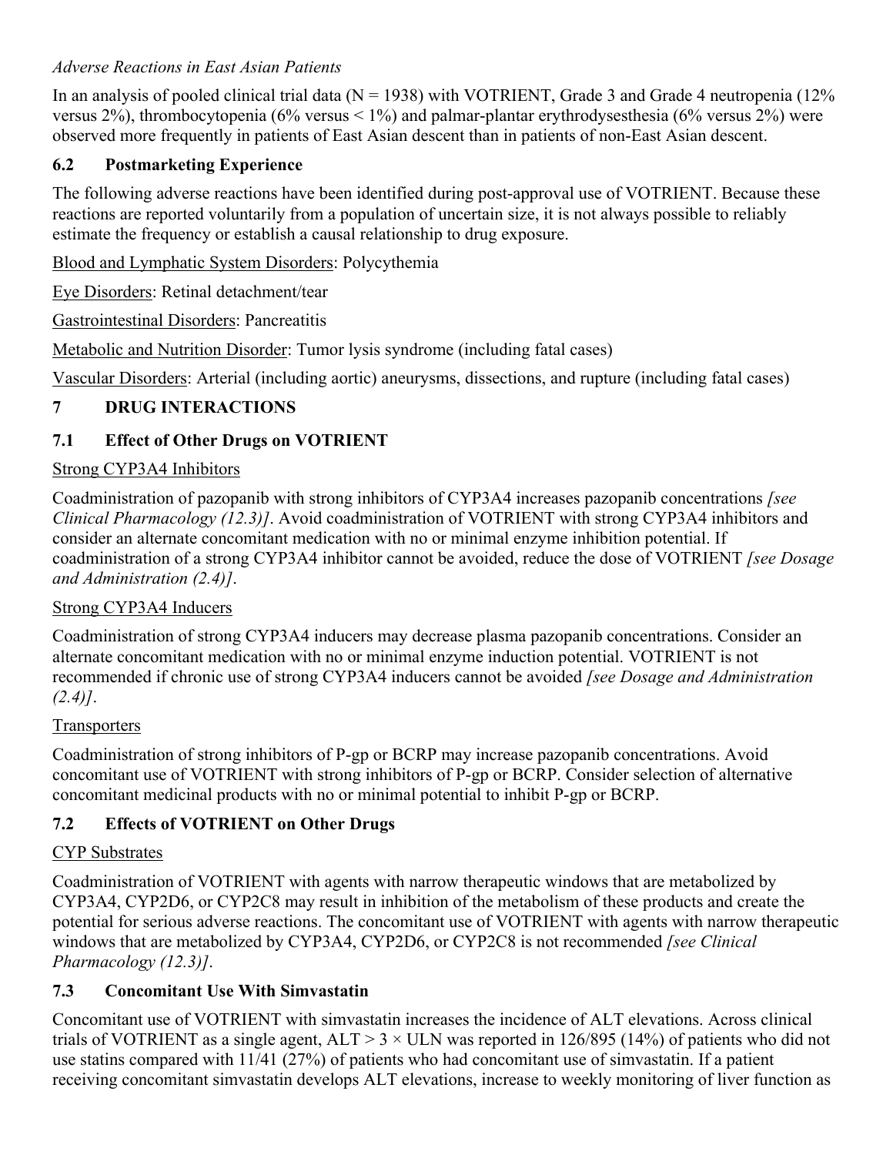### *Adverse Reactions in East Asian Patients*

In an analysis of pooled clinical trial data ( $N = 1938$ ) with VOTRIENT, Grade 3 and Grade 4 neutropenia (12% versus 2%), thrombocytopenia (6% versus < 1%) and palmar-plantar erythrodysesthesia (6% versus 2%) were observed more frequently in patients of East Asian descent than in patients of non-East Asian descent.

### <span id="page-14-3"></span>**6.2 Postmarketing Experience**

The following adverse reactions have been identified during post-approval use of VOTRIENT. Because these reactions are reported voluntarily from a population of uncertain size, it is not always possible to reliably estimate the frequency or establish a causal relationship to drug exposure.

Blood and Lymphatic System Disorders: Polycythemia

Eye Disorders: Retinal detachment/tear

Gastrointestinal Disorders: Pancreatitis

Metabolic and Nutrition Disorder: Tumor lysis syndrome (including fatal cases)

Vascular Disorders: Arterial (including aortic) aneurysms, dissections, and rupture (including fatal cases)

### <span id="page-14-4"></span>**7 DRUG INTERACTIONS**

### <span id="page-14-0"></span>**7.1 Effect of Other Drugs on VOTRIENT**

### Strong CYP3A4 Inhibitors

Coadministration of pazopanib with strong inhibitors of CYP3A4 increases pazopanib concentrations *[see Clinical Pharmacology (12.3)]*. Avoid coadministration of VOTRIENT with strong CYP3A4 inhibitors and consider an alternate concomitant medication with no or minimal enzyme inhibition potential. If coadministration of a strong CYP3A4 inhibitor cannot be avoided, reduce the dose of VOTRIENT *[see Dosage and Administration (2.4)]*.

### Strong CYP3A4 Inducers

Coadministration of strong CYP3A4 inducers may decrease plasma pazopanib concentrations. Consider an alternate concomitant medication with no or minimal enzyme induction potential. VOTRIENT is not recommended if chronic use of strong CYP3A4 inducers cannot be avoided *[see Dosage and Administration (2.4)]*.

#### **Transporters**

Coadministration of strong inhibitors of P-gp or BCRP may increase pazopanib concentrations. Avoid concomitant use of VOTRIENT with strong inhibitors of P-gp or BCRP. Consider selection of alternative concomitant medicinal products with no or minimal potential to inhibit P-gp or BCRP.

### <span id="page-14-1"></span>**7.2 Effects of VOTRIENT on Other Drugs**

### CYP Substrates

Coadministration of VOTRIENT with agents with narrow therapeutic windows that are metabolized by CYP3A4, CYP2D6, or CYP2C8 may result in inhibition of the metabolism of these products and create the potential for serious adverse reactions. The concomitant use of VOTRIENT with agents with narrow therapeutic windows that are metabolized by CYP3A4, CYP2D6, or CYP2C8 is not recommended *[see Clinical Pharmacology (12.3)]*.

### <span id="page-14-2"></span>**7.3 Concomitant Use With Simvastatin**

Concomitant use of VOTRIENT with simvastatin increases the incidence of ALT elevations. Across clinical trials of VOTRIENT as a single agent,  $ALT > 3 \times ULN$  was reported in 126/895 (14%) of patients who did not use statins compared with 11/41 (27%) of patients who had concomitant use of simvastatin. If a patient receiving concomitant simvastatin develops ALT elevations, increase to weekly monitoring of liver function as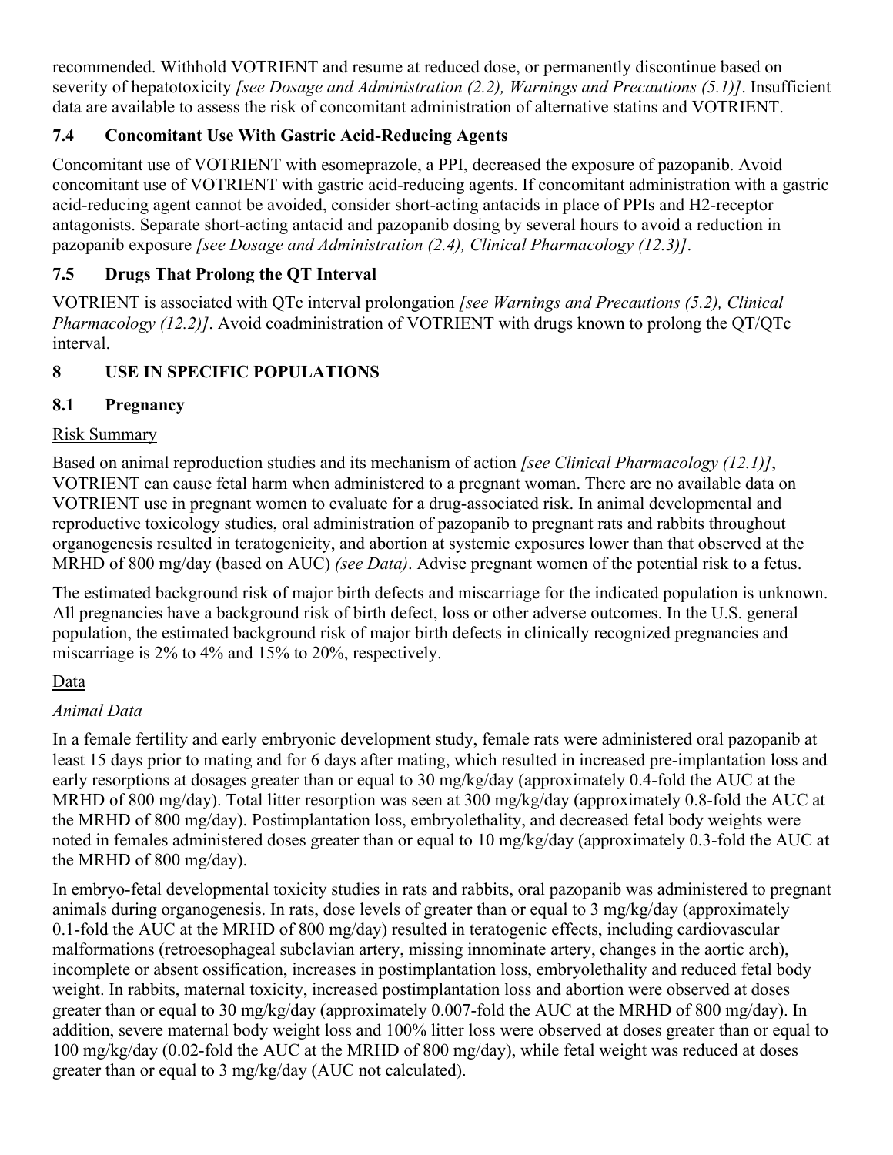recommended. Withhold VOTRIENT and resume at reduced dose, or permanently discontinue based on severity of hepatotoxicity *[see Dosage and Administration (2.2), Warnings and Precautions (5.1)]*. Insufficient data are available to assess the risk of concomitant administration of alternative statins and VOTRIENT.

## <span id="page-15-1"></span>**7.4 Concomitant Use With Gastric Acid-Reducing Agents**

Concomitant use of VOTRIENT with esomeprazole, a PPI, decreased the exposure of pazopanib. Avoid concomitant use of VOTRIENT with gastric acid-reducing agents. If concomitant administration with a gastric acid-reducing agent cannot be avoided, consider short-acting antacids in place of PPIs and H2-receptor antagonists. Separate short-acting antacid and pazopanib dosing by several hours to avoid a reduction in pazopanib exposure *[see Dosage and Administration (2.4), Clinical Pharmacology (12.3)]*.

# <span id="page-15-2"></span>**7.5 Drugs That Prolong the QT Interval**

VOTRIENT is associated with QTc interval prolongation *[see Warnings and Precautions (5.2), Clinical Pharmacology (12.2)]*. Avoid coadministration of VOTRIENT with drugs known to prolong the QT/QTc interval.

# <span id="page-15-3"></span>**8 USE IN SPECIFIC POPULATIONS**

## <span id="page-15-0"></span>**8.1 Pregnancy**

### Risk Summary

Based on animal reproduction studies and its mechanism of action *[see Clinical Pharmacology (12.1)]*, VOTRIENT can cause fetal harm when administered to a pregnant woman. There are no available data on VOTRIENT use in pregnant women to evaluate for a drug-associated risk. In animal developmental and reproductive toxicology studies, oral administration of pazopanib to pregnant rats and rabbits throughout organogenesis resulted in teratogenicity, and abortion at systemic exposures lower than that observed at the MRHD of 800 mg/day (based on AUC) *(see Data)*. Advise pregnant women of the potential risk to a fetus.

The estimated background risk of major birth defects and miscarriage for the indicated population is unknown. All pregnancies have a background risk of birth defect, loss or other adverse outcomes. In the U.S. general population, the estimated background risk of major birth defects in clinically recognized pregnancies and miscarriage is 2% to 4% and 15% to 20%, respectively.

## Data

## *Animal Data*

In a female fertility and early embryonic development study, female rats were administered oral pazopanib at least 15 days prior to mating and for 6 days after mating, which resulted in increased pre-implantation loss and early resorptions at dosages greater than or equal to 30 mg/kg/day (approximately 0.4-fold the AUC at the MRHD of 800 mg/day). Total litter resorption was seen at 300 mg/kg/day (approximately 0.8-fold the AUC at the MRHD of 800 mg/day). Postimplantation loss, embryolethality, and decreased fetal body weights were noted in females administered doses greater than or equal to 10 mg/kg/day (approximately 0.3-fold the AUC at the MRHD of 800 mg/day).

In embryo-fetal developmental toxicity studies in rats and rabbits, oral pazopanib was administered to pregnant animals during organogenesis. In rats, dose levels of greater than or equal to 3 mg/kg/day (approximately 0.1-fold the AUC at the MRHD of 800 mg/day) resulted in teratogenic effects, including cardiovascular malformations (retroesophageal subclavian artery, missing innominate artery, changes in the aortic arch), incomplete or absent ossification, increases in postimplantation loss, embryolethality and reduced fetal body weight. In rabbits, maternal toxicity, increased postimplantation loss and abortion were observed at doses greater than or equal to 30 mg/kg/day (approximately 0.007-fold the AUC at the MRHD of 800 mg/day). In addition, severe maternal body weight loss and 100% litter loss were observed at doses greater than or equal to 100 mg/kg/day (0.02-fold the AUC at the MRHD of 800 mg/day), while fetal weight was reduced at doses greater than or equal to 3 mg/kg/day (AUC not calculated).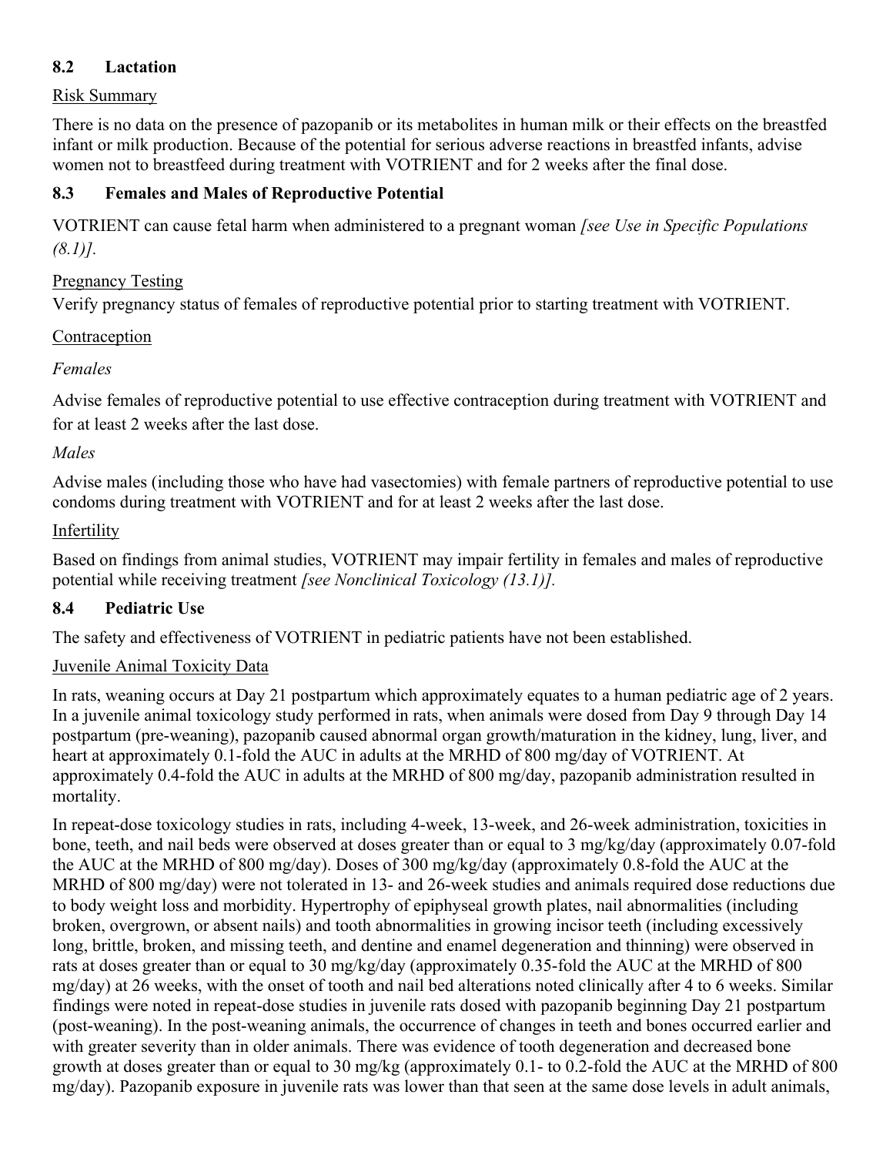#### <span id="page-16-1"></span>**8.2 Lactation**

#### Risk Summary

There is no data on the presence of pazopanib or its metabolites in human milk or their effects on the breastfed infant or milk production. Because of the potential for serious adverse reactions in breastfed infants, advise women not to breastfeed during treatment with VOTRIENT and for 2 weeks after the final dose.

#### <span id="page-16-0"></span>**8.3 Females and Males of Reproductive Potential**

VOTRIENT can cause fetal harm when administered to a pregnant woman *[see Use in Specific Populations (8.1)].*

#### Pregnancy Testing

Verify pregnancy status of females of reproductive potential prior to starting treatment with VOTRIENT.

#### Contraception

#### *Females*

Advise females of reproductive potential to use effective contraception during treatment with VOTRIENT and for at least 2 weeks after the last dose.

#### *Males*

Advise males (including those who have had vasectomies) with female partners of reproductive potential to use condoms during treatment with VOTRIENT and for at least 2 weeks after the last dose.

#### Infertility

Based on findings from animal studies, VOTRIENT may impair fertility in females and males of reproductive potential while receiving treatment *[see Nonclinical Toxicology (13.1)].*

### <span id="page-16-2"></span>**8.4 Pediatric Use**

The safety and effectiveness of VOTRIENT in pediatric patients have not been established.

#### Juvenile Animal Toxicity Data

In rats, weaning occurs at Day 21 postpartum which approximately equates to a human pediatric age of 2 years. In a juvenile animal toxicology study performed in rats, when animals were dosed from Day 9 through Day 14 postpartum (pre-weaning), pazopanib caused abnormal organ growth/maturation in the kidney, lung, liver, and heart at approximately 0.1-fold the AUC in adults at the MRHD of 800 mg/day of VOTRIENT. At approximately 0.4-fold the AUC in adults at the MRHD of 800 mg/day, pazopanib administration resulted in mortality.

In repeat-dose toxicology studies in rats, including 4-week, 13-week, and 26-week administration, toxicities in bone, teeth, and nail beds were observed at doses greater than or equal to 3 mg/kg/day (approximately 0.07-fold the AUC at the MRHD of 800 mg/day). Doses of 300 mg/kg/day (approximately 0.8-fold the AUC at the MRHD of 800 mg/day) were not tolerated in 13- and 26-week studies and animals required dose reductions due to body weight loss and morbidity. Hypertrophy of epiphyseal growth plates, nail abnormalities (including broken, overgrown, or absent nails) and tooth abnormalities in growing incisor teeth (including excessively long, brittle, broken, and missing teeth, and dentine and enamel degeneration and thinning) were observed in rats at doses greater than or equal to 30 mg/kg/day (approximately 0.35-fold the AUC at the MRHD of 800 mg/day) at 26 weeks, with the onset of tooth and nail bed alterations noted clinically after 4 to 6 weeks. Similar findings were noted in repeat-dose studies in juvenile rats dosed with pazopanib beginning Day 21 postpartum (post-weaning). In the post-weaning animals, the occurrence of changes in teeth and bones occurred earlier and with greater severity than in older animals. There was evidence of tooth degeneration and decreased bone growth at doses greater than or equal to 30 mg/kg (approximately 0.1- to 0.2-fold the AUC at the MRHD of 800 mg/day). Pazopanib exposure in juvenile rats was lower than that seen at the same dose levels in adult animals,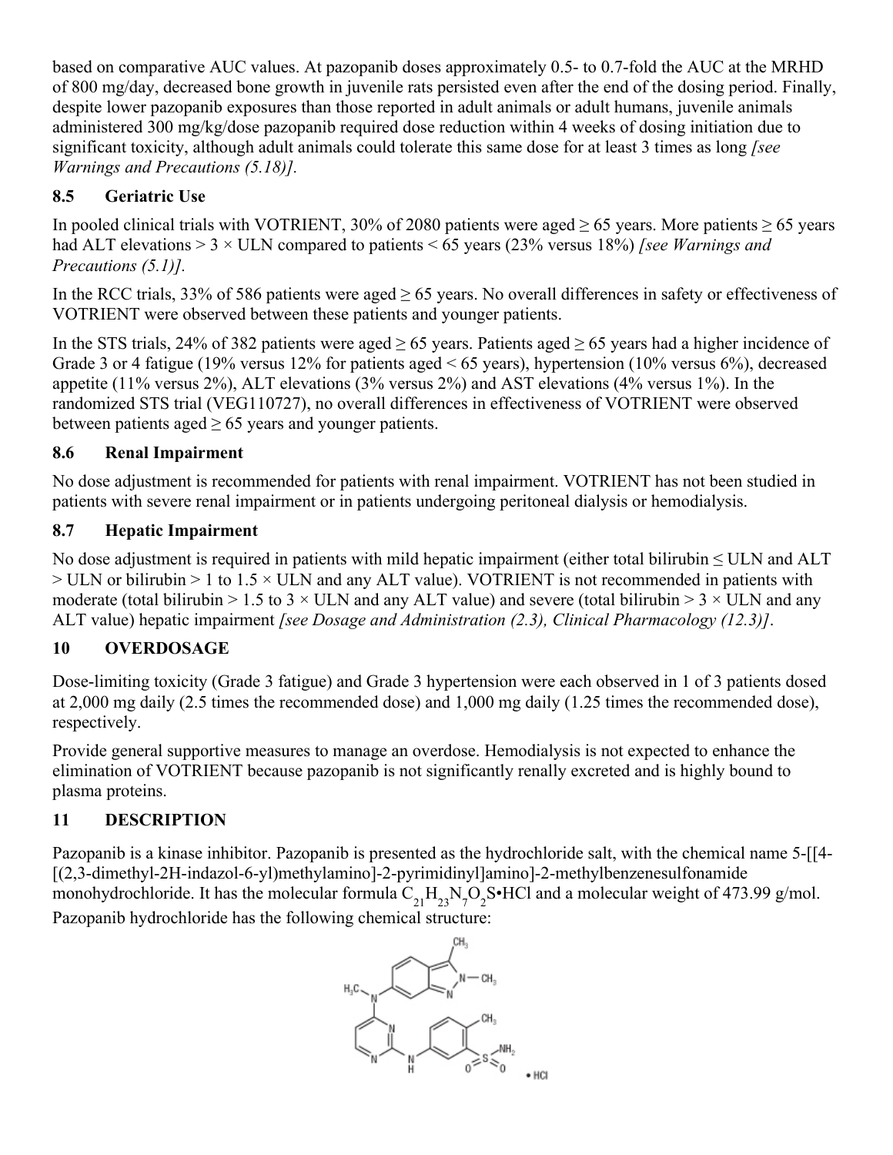based on comparative AUC values. At pazopanib doses approximately 0.5- to 0.7-fold the AUC at the MRHD of 800 mg/day, decreased bone growth in juvenile rats persisted even after the end of the dosing period. Finally, despite lower pazopanib exposures than those reported in adult animals or adult humans, juvenile animals administered 300 mg/kg/dose pazopanib required dose reduction within 4 weeks of dosing initiation due to significant toxicity, although adult animals could tolerate this same dose for at least 3 times as long *[see Warnings and Precautions (5.18)].*

## <span id="page-17-0"></span>**8.5 Geriatric Use**

In pooled clinical trials with VOTRIENT, 30% of 2080 patients were aged  $\geq$  65 years. More patients  $\geq$  65 years had ALT elevations > 3 × ULN compared to patients < 65 years (23% versus 18%) *[see Warnings and Precautions (5.1)].*

In the RCC trials, 33% of 586 patients were aged  $\geq$  65 years. No overall differences in safety or effectiveness of VOTRIENT were observed between these patients and younger patients.

In the STS trials, 24% of 382 patients were aged  $\geq$  65 years. Patients aged  $\geq$  65 years had a higher incidence of Grade 3 or 4 fatigue (19% versus 12% for patients aged  $\leq 65$  years), hypertension (10% versus 6%), decreased appetite (11% versus 2%), ALT elevations (3% versus 2%) and AST elevations (4% versus 1%). In the randomized STS trial (VEG110727), no overall differences in effectiveness of VOTRIENT were observed between patients aged  $\geq 65$  years and younger patients.

## <span id="page-17-1"></span>**8.6 Renal Impairment**

No dose adjustment is recommended for patients with renal impairment. VOTRIENT has not been studied in patients with severe renal impairment or in patients undergoing peritoneal dialysis or hemodialysis.

# <span id="page-17-2"></span>**8.7 Hepatic Impairment**

No dose adjustment is required in patients with mild hepatic impairment (either total bilirubin ≤ ULN and ALT  $>$  ULN or bilirubin  $>$  1 to 1.5  $\times$  ULN and any ALT value). VOTRIENT is not recommended in patients with moderate (total bilirubin  $> 1.5$  to 3  $\times$  ULN and any ALT value) and severe (total bilirubin  $> 3 \times$  ULN and any ALT value) hepatic impairment *[see Dosage and Administration (2.3), Clinical Pharmacology (12.3)]*.

# <span id="page-17-3"></span>**10 OVERDOSAGE**

Dose-limiting toxicity (Grade 3 fatigue) and Grade 3 hypertension were each observed in 1 of 3 patients dosed at 2,000 mg daily (2.5 times the recommended dose) and 1,000 mg daily (1.25 times the recommended dose), respectively.

Provide general supportive measures to manage an overdose. Hemodialysis is not expected to enhance the elimination of VOTRIENT because pazopanib is not significantly renally excreted and is highly bound to plasma proteins.

# <span id="page-17-4"></span>**11 DESCRIPTION**

Pazopanib is a kinase inhibitor. Pazopanib is presented as the hydrochloride salt, with the chemical name 5-[[4- [(2,3-dimethyl-2H-indazol-6-yl)methylamino]-2-pyrimidinyl]amino]-2-methylbenzenesulfonamide monohydrochloride. It has the molecular formula  $C_{21}H_{23}N_7O_2S \cdot HCl$  and a molecular weight of 473.99 g/mol. Pazopanib hydrochloride has the following chemical structure:

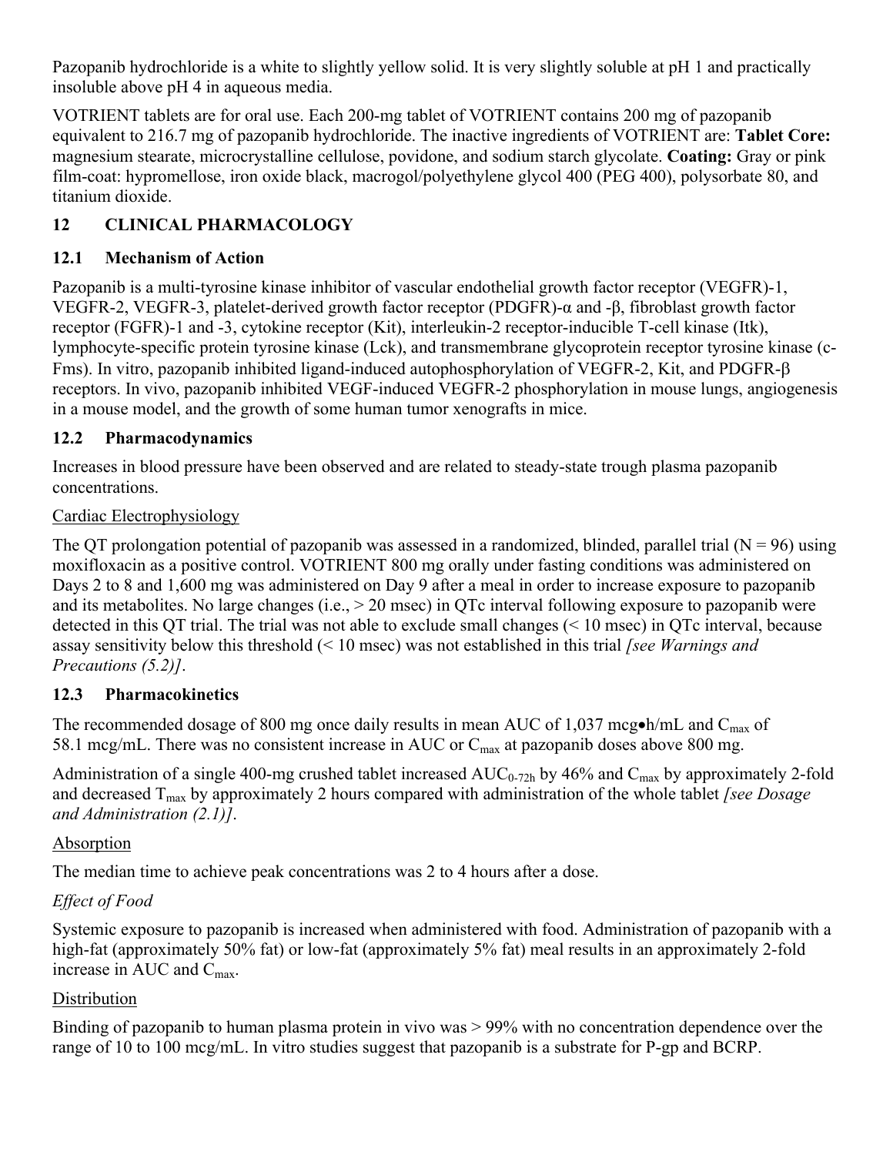Pazopanib hydrochloride is a white to slightly yellow solid. It is very slightly soluble at pH 1 and practically insoluble above pH 4 in aqueous media.

VOTRIENT tablets are for oral use. Each 200-mg tablet of VOTRIENT contains 200 mg of pazopanib equivalent to 216.7 mg of pazopanib hydrochloride. The inactive ingredients of VOTRIENT are: **Tablet Core:** magnesium stearate, microcrystalline cellulose, povidone, and sodium starch glycolate. **Coating:** Gray or pink film-coat: hypromellose, iron oxide black, macrogol/polyethylene glycol 400 (PEG 400), polysorbate 80, and titanium dioxide.

# <span id="page-18-1"></span>**12 CLINICAL PHARMACOLOGY**

### <span id="page-18-2"></span>**12.1 Mechanism of Action**

Pazopanib is a multi-tyrosine kinase inhibitor of vascular endothelial growth factor receptor (VEGFR)-1, VEGFR-2, VEGFR-3, platelet-derived growth factor receptor (PDGFR)-α and -β, fibroblast growth factor receptor (FGFR)-1 and -3, cytokine receptor (Kit), interleukin-2 receptor-inducible T-cell kinase (Itk), lymphocyte-specific protein tyrosine kinase (Lck), and transmembrane glycoprotein receptor tyrosine kinase (c-Fms). In vitro, pazopanib inhibited ligand-induced autophosphorylation of VEGFR-2, Kit, and PDGFR- $\beta$ receptors. In vivo, pazopanib inhibited VEGF-induced VEGFR-2 phosphorylation in mouse lungs, angiogenesis in a mouse model, and the growth of some human tumor xenografts in mice.

### <span id="page-18-0"></span>**12.2 Pharmacodynamics**

Increases in blood pressure have been observed and are related to steady-state trough plasma pazopanib concentrations.

### Cardiac Electrophysiology

The QT prolongation potential of pazopanib was assessed in a randomized, blinded, parallel trial ( $N = 96$ ) using moxifloxacin as a positive control. VOTRIENT 800 mg orally under fasting conditions was administered on Days 2 to 8 and 1,600 mg was administered on Day 9 after a meal in order to increase exposure to pazopanib and its metabolites. No large changes (i.e., > 20 msec) in QTc interval following exposure to pazopanib were detected in this QT trial. The trial was not able to exclude small changes (< 10 msec) in QTc interval, because assay sensitivity below this threshold (< 10 msec) was not established in this trial *[see Warnings and Precautions (5.2)]*.

## <span id="page-18-3"></span>**12.3 Pharmacokinetics**

The recommended dosage of 800 mg once daily results in mean AUC of 1,037 mcg $\bullet$ h/mL and C<sub>max</sub> of 58.1 mcg/mL. There was no consistent increase in AUC or  $C_{\text{max}}$  at pazopanib doses above 800 mg.

Administration of a single 400-mg crushed tablet increased  $AUC_{0.72h}$  by 46% and  $C_{max}$  by approximately 2-fold and decreased T<sub>max</sub> by approximately 2 hours compared with administration of the whole tablet *[see Dosage and Administration (2.1)]*.

## Absorption

The median time to achieve peak concentrations was 2 to 4 hours after a dose.

## *Effect of Food*

Systemic exposure to pazopanib is increased when administered with food. Administration of pazopanib with a high-fat (approximately 50% fat) or low-fat (approximately 5% fat) meal results in an approximately 2-fold increase in AUC and  $C_{\text{max}}$ .

## **Distribution**

Binding of pazopanib to human plasma protein in vivo was > 99% with no concentration dependence over the range of 10 to 100 mcg/mL. In vitro studies suggest that pazopanib is a substrate for P-gp and BCRP.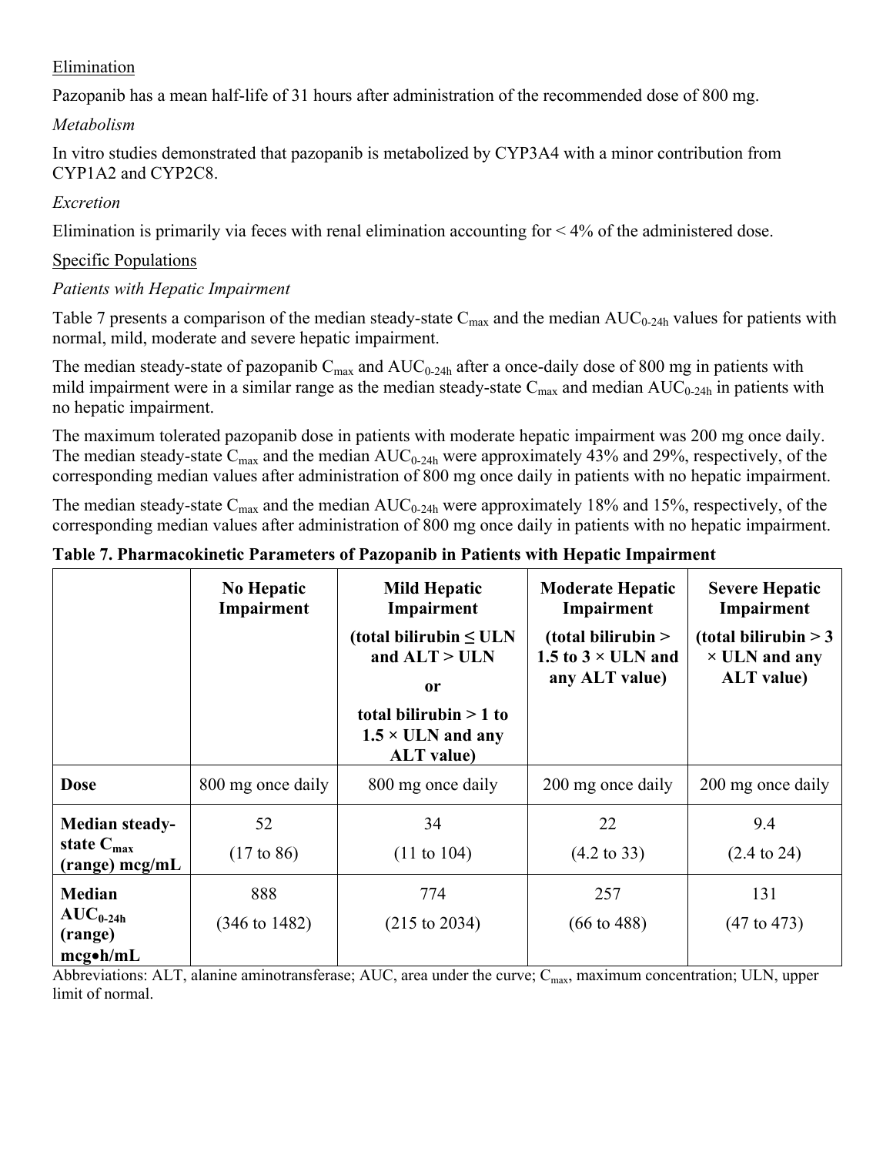### Elimination

Pazopanib has a mean half-life of 31 hours after administration of the recommended dose of 800 mg.

*Metabolism*

In vitro studies demonstrated that pazopanib is metabolized by CYP3A4 with a minor contribution from CYP1A2 and CYP2C8.

#### *Excretion*

Elimination is primarily via feces with renal elimination accounting for  $\leq 4\%$  of the administered dose.

#### Specific Populations

#### *Patients with Hepatic Impairment*

Table 7 presents a comparison of the median steady-state  $C_{\text{max}}$  and the median  $AUC_{0-24h}$  values for patients with normal, mild, moderate and severe hepatic impairment.

The median steady-state of pazopanib  $C_{\text{max}}$  and  $AUC_{0-24h}$  after a once-daily dose of 800 mg in patients with mild impairment were in a similar range as the median steady-state  $C_{\text{max}}$  and median  $AUC_{0-24h}$  in patients with no hepatic impairment.

The maximum tolerated pazopanib dose in patients with moderate hepatic impairment was 200 mg once daily. The median steady-state  $C_{\text{max}}$  and the median  $AUC_{0-24h}$  were approximately 43% and 29%, respectively, of the corresponding median values after administration of 800 mg once daily in patients with no hepatic impairment.

The median steady-state  $C_{\text{max}}$  and the median  $AUC_{0.24h}$  were approximately 18% and 15%, respectively, of the corresponding median values after administration of 800 mg once daily in patients with no hepatic impairment.

|                                                                | <b>No Hepatic</b><br>Impairment | <b>Mild Hepatic</b><br>Impairment<br>(total bilirubin $\leq$ ULN<br>and $ALT > ULN$<br><sub>or</sub><br>total bilirubin $> 1$ to<br>$1.5 \times$ ULN and any<br><b>ALT</b> value) | <b>Moderate Hepatic</b><br>Impairment<br>$(total\, bilirubin >$<br>1.5 to $3 \times$ ULN and<br>any ALT value) | <b>Severe Hepatic</b><br>Impairment<br>(total bilirubin $>$ 3<br>$\times$ ULN and any<br><b>ALT</b> value) |
|----------------------------------------------------------------|---------------------------------|-----------------------------------------------------------------------------------------------------------------------------------------------------------------------------------|----------------------------------------------------------------------------------------------------------------|------------------------------------------------------------------------------------------------------------|
| <b>Dose</b>                                                    | 800 mg once daily               | 800 mg once daily                                                                                                                                                                 | 200 mg once daily                                                                                              | 200 mg once daily                                                                                          |
| Median steady-<br>state $C_{\text{max}}$<br>$(range) \nmg/ml$  | 52<br>$(17 \text{ to } 86)$     | 34<br>$(11 \text{ to } 104)$                                                                                                                                                      | 22<br>$(4.2 \text{ to } 33)$                                                                                   | 9.4<br>$(2.4 \text{ to } 24)$                                                                              |
| <b>Median</b><br>$AUC_{0-24h}$<br>(range)<br>$mcg\bullet h/mL$ | 888<br>$(346 \text{ to } 1482)$ | 774<br>$(215 \text{ to } 2034)$                                                                                                                                                   | 257<br>$(66 \text{ to } 488)$                                                                                  | 131<br>$(47 \text{ to } 473)$                                                                              |

#### **Table 7. Pharmacokinetic Parameters of Pazopanib in Patients with Hepatic Impairment**

Abbreviations: ALT, alanine aminotransferase; AUC, area under the curve;  $C_{\text{max}}$ , maximum concentration; ULN, upper limit of normal.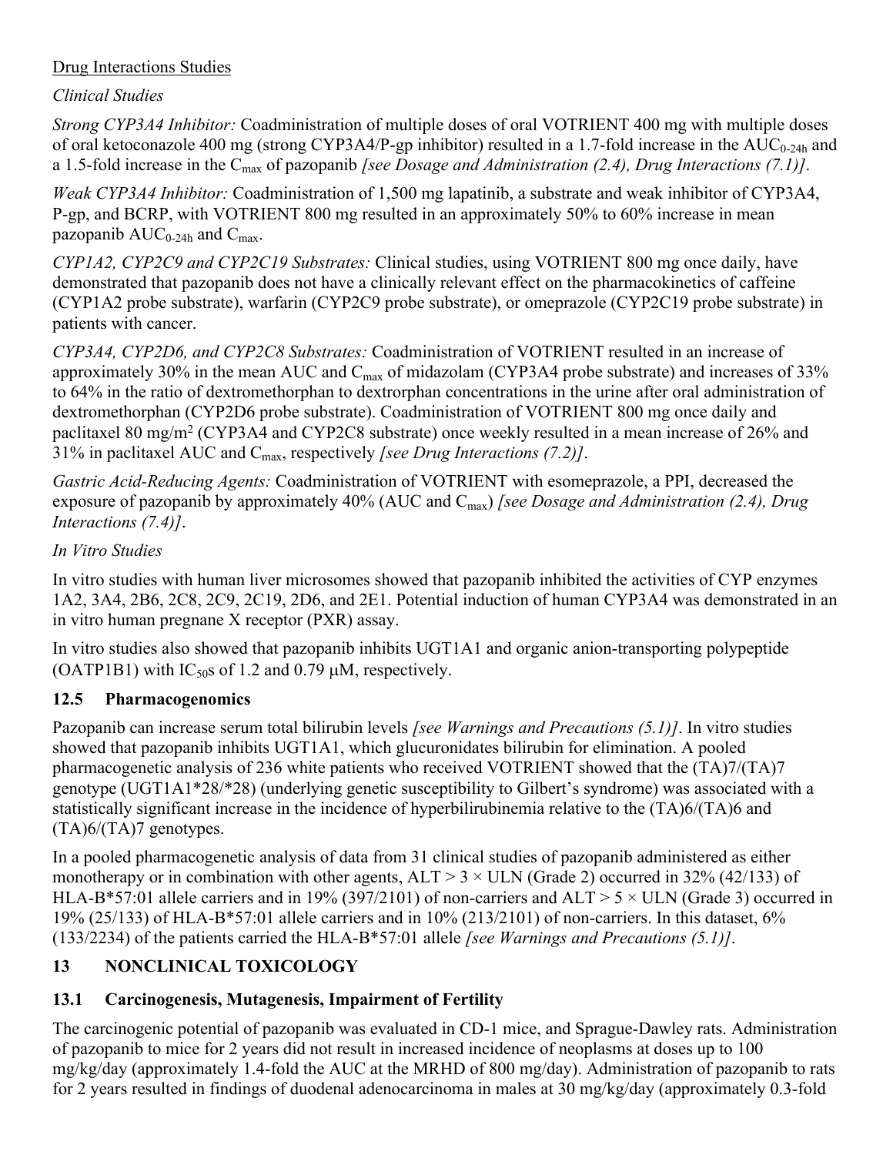### Drug Interactions Studies

## *Clinical Studies*

*Strong CYP3A4 Inhibitor:* Coadministration of multiple doses of oral VOTRIENT 400 mg with multiple doses of oral ketoconazole 400 mg (strong CYP3A4/P-gp inhibitor) resulted in a 1.7-fold increase in the  $AUC_{0.24h}$  and a 1.5-fold increase in the C<sub>max</sub> of pazopanib *[see Dosage and Administration (2.4), Drug Interactions (7.1)]*.

*Weak CYP3A4 Inhibitor:* Coadministration of 1,500 mg lapatinib, a substrate and weak inhibitor of CYP3A4, P-gp, and BCRP, with VOTRIENT 800 mg resulted in an approximately 50% to 60% increase in mean pazopanib  $AUC_{0.24h}$  and  $C_{\text{max}}$ .

*CYP1A2, CYP2C9 and CYP2C19 Substrates:* Clinical studies, using VOTRIENT 800 mg once daily, have demonstrated that pazopanib does not have a clinically relevant effect on the pharmacokinetics of caffeine (CYP1A2 probe substrate), warfarin (CYP2C9 probe substrate), or omeprazole (CYP2C19 probe substrate) in patients with cancer.

*CYP3A4, CYP2D6, and CYP2C8 Substrates:* Coadministration of VOTRIENT resulted in an increase of approximately 30% in the mean AUC and  $C_{\text{max}}$  of midazolam (CYP3A4 probe substrate) and increases of 33% to 64% in the ratio of dextromethorphan to dextrorphan concentrations in the urine after oral administration of dextromethorphan (CYP2D6 probe substrate). Coadministration of VOTRIENT 800 mg once daily and paclitaxel 80 mg/m<sup>2</sup> (CYP3A4 and CYP2C8 substrate) once weekly resulted in a mean increase of 26% and 31% in paclitaxel AUC and Cmax, respectively *[see Drug Interactions (7.2)]*.

*Gastric Acid-Reducing Agents:* Coadministration of VOTRIENT with esomeprazole, a PPI, decreased the exposure of pazopanib by approximately 40% (AUC and C<sub>max</sub>) *[see Dosage and Administration (2.4)*, *Drug Interactions (7.4)]*.

### *In Vitro Studies*

In vitro studies with human liver microsomes showed that pazopanib inhibited the activities of CYP enzymes 1A2, 3A4, 2B6, 2C8, 2C9, 2C19, 2D6, and 2E1. Potential induction of human CYP3A4 was demonstrated in an in vitro human pregnane X receptor (PXR) assay.

In vitro studies also showed that pazopanib inhibits UGT1A1 and organic anion-transporting polypeptide (OATP1B1) with IC<sub>50</sub>s of 1.2 and 0.79  $\mu$ M, respectively.

## <span id="page-20-0"></span>**12.5 Pharmacogenomics**

Pazopanib can increase serum total bilirubin levels *[see Warnings and Precautions (5.1)]*. In vitro studies showed that pazopanib inhibits UGT1A1, which glucuronidates bilirubin for elimination. A pooled pharmacogenetic analysis of 236 white patients who received VOTRIENT showed that the (TA)7/(TA)7 genotype (UGT1A1\*28/\*28) (underlying genetic susceptibility to Gilbert's syndrome) was associated with a statistically significant increase in the incidence of hyperbilirubinemia relative to the (TA)6/(TA)6 and (TA)6/(TA)7 genotypes.

In a pooled pharmacogenetic analysis of data from 31 clinical studies of pazopanib administered as either monotherapy or in combination with other agents,  $ALT > 3 \times ULN$  (Grade 2) occurred in 32% (42/133) of HLA-B\*57:01 allele carriers and in 19% (397/2101) of non-carriers and ALT >  $5 \times$  ULN (Grade 3) occurred in 19% (25/133) of HLA-B\*57:01 allele carriers and in 10% (213/2101) of non-carriers. In this dataset, 6% (133/2234) of the patients carried the HLA-B\*57:01 allele *[see Warnings and Precautions (5.1)]*.

# <span id="page-20-1"></span>**13 NONCLINICAL TOXICOLOGY**

# <span id="page-20-2"></span>**13.1 Carcinogenesis, Mutagenesis, Impairment of Fertility**

The carcinogenic potential of pazopanib was evaluated in CD-1 mice, and Sprague-Dawley rats. Administration of pazopanib to mice for 2 years did not result in increased incidence of neoplasms at doses up to 100 mg/kg/day (approximately 1.4-fold the AUC at the MRHD of 800 mg/day). Administration of pazopanib to rats for 2 years resulted in findings of duodenal adenocarcinoma in males at 30 mg/kg/day (approximately 0.3-fold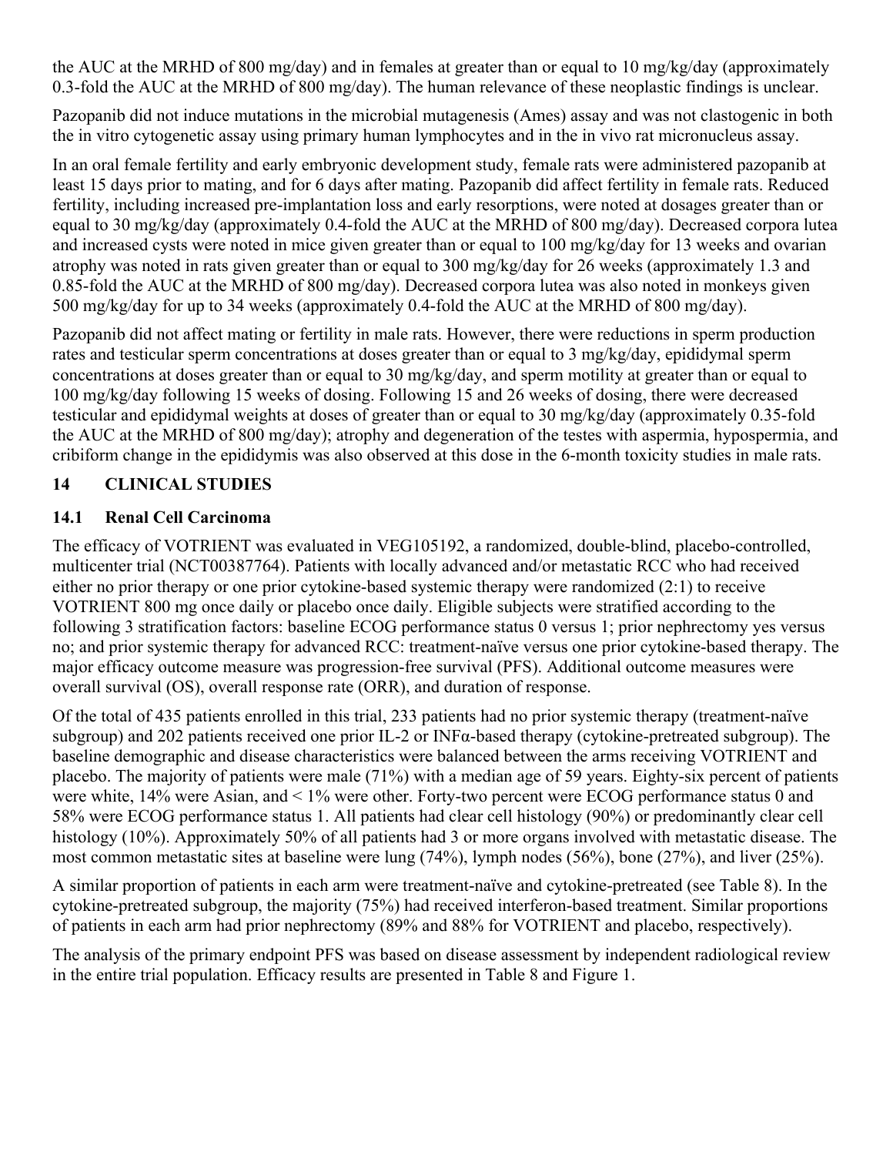the AUC at the MRHD of 800 mg/day) and in females at greater than or equal to 10 mg/kg/day (approximately 0.3-fold the AUC at the MRHD of 800 mg/day). The human relevance of these neoplastic findings is unclear.

Pazopanib did not induce mutations in the microbial mutagenesis (Ames) assay and was not clastogenic in both the in vitro cytogenetic assay using primary human lymphocytes and in the in vivo rat micronucleus assay.

In an oral female fertility and early embryonic development study, female rats were administered pazopanib at least 15 days prior to mating, and for 6 days after mating. Pazopanib did affect fertility in female rats. Reduced fertility, including increased pre-implantation loss and early resorptions, were noted at dosages greater than or equal to 30 mg/kg/day (approximately 0.4-fold the AUC at the MRHD of 800 mg/day). Decreased corpora lutea and increased cysts were noted in mice given greater than or equal to 100 mg/kg/day for 13 weeks and ovarian atrophy was noted in rats given greater than or equal to 300 mg/kg/day for 26 weeks (approximately 1.3 and 0.85-fold the AUC at the MRHD of 800 mg/day). Decreased corpora lutea was also noted in monkeys given 500 mg/kg/day for up to 34 weeks (approximately 0.4-fold the AUC at the MRHD of 800 mg/day).

Pazopanib did not affect mating or fertility in male rats. However, there were reductions in sperm production rates and testicular sperm concentrations at doses greater than or equal to 3 mg/kg/day, epididymal sperm concentrations at doses greater than or equal to 30 mg/kg/day, and sperm motility at greater than or equal to 100 mg/kg/day following 15 weeks of dosing. Following 15 and 26 weeks of dosing, there were decreased testicular and epididymal weights at doses of greater than or equal to 30 mg/kg/day (approximately 0.35-fold the AUC at the MRHD of 800 mg/day); atrophy and degeneration of the testes with aspermia, hypospermia, and cribiform change in the epididymis was also observed at this dose in the 6-month toxicity studies in male rats.

## <span id="page-21-0"></span>**14 CLINICAL STUDIES**

### <span id="page-21-1"></span>**14.1 Renal Cell Carcinoma**

The efficacy of VOTRIENT was evaluated in VEG105192, a randomized, double-blind, placebo-controlled, multicenter trial (NCT00387764). Patients with locally advanced and/or metastatic RCC who had received either no prior therapy or one prior cytokine-based systemic therapy were randomized (2:1) to receive VOTRIENT 800 mg once daily or placebo once daily. Eligible subjects were stratified according to the following 3 stratification factors: baseline ECOG performance status 0 versus 1; prior nephrectomy yes versus no; and prior systemic therapy for advanced RCC: treatment-naïve versus one prior cytokine-based therapy. The major efficacy outcome measure was progression-free survival (PFS). Additional outcome measures were overall survival (OS), overall response rate (ORR), and duration of response.

Of the total of 435 patients enrolled in this trial, 233 patients had no prior systemic therapy (treatment-naïve subgroup) and 202 patients received one prior IL-2 or INFα-based therapy (cytokine-pretreated subgroup). The baseline demographic and disease characteristics were balanced between the arms receiving VOTRIENT and placebo. The majority of patients were male (71%) with a median age of 59 years. Eighty-six percent of patients were white, 14% were Asian, and < 1% were other. Forty-two percent were ECOG performance status 0 and 58% were ECOG performance status 1. All patients had clear cell histology (90%) or predominantly clear cell histology (10%). Approximately 50% of all patients had 3 or more organs involved with metastatic disease. The most common metastatic sites at baseline were lung (74%), lymph nodes (56%), bone (27%), and liver (25%).

A similar proportion of patients in each arm were treatment-naïve and cytokine-pretreated (see Table 8). In the cytokine-pretreated subgroup, the majority (75%) had received interferon-based treatment. Similar proportions of patients in each arm had prior nephrectomy (89% and 88% for VOTRIENT and placebo, respectively).

The analysis of the primary endpoint PFS was based on disease assessment by independent radiological review in the entire trial population. Efficacy results are presented in Table 8 and Figure 1.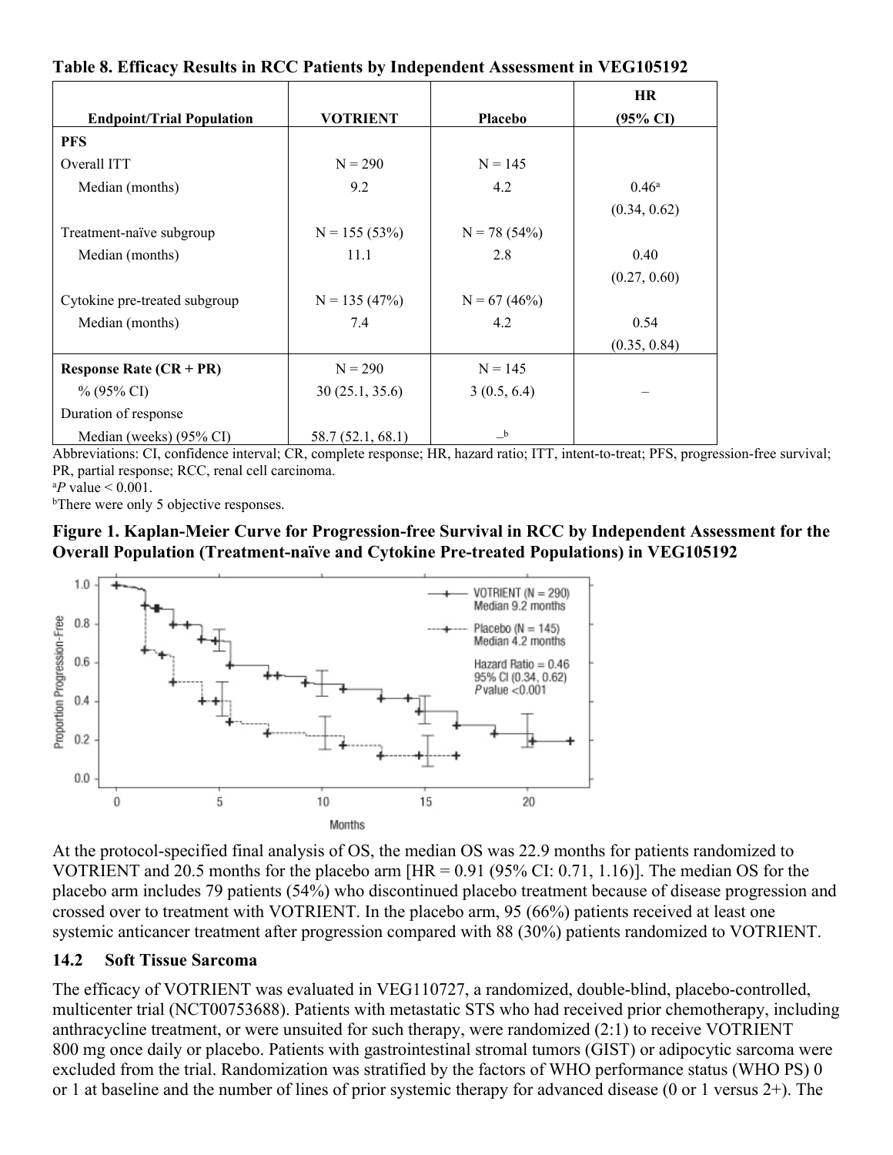|  | Table 8. Efficacy Results in RCC Patients by Independent Assessment in VEG105192 |  |  |
|--|----------------------------------------------------------------------------------|--|--|
|  |                                                                                  |  |  |

|                                  |                   |                | HR                  |
|----------------------------------|-------------------|----------------|---------------------|
| <b>Endpoint/Trial Population</b> | <b>VOTRIENT</b>   | <b>Placebo</b> | $(95\% \text{ CI})$ |
| <b>PFS</b>                       |                   |                |                     |
| Overall ITT                      | $N = 290$         | $N = 145$      |                     |
| Median (months)                  | 9.2               | 4.2            | 0.46 <sup>a</sup>   |
|                                  |                   |                | (0.34, 0.62)        |
| Treatment-naïve subgroup         | $N = 155(53%)$    | $N = 78(54%)$  |                     |
| Median (months)                  | 11.1              | 2.8            | 0.40                |
|                                  |                   |                | (0.27, 0.60)        |
| Cytokine pre-treated subgroup    | $N = 135(47%)$    | $N = 67(46%)$  |                     |
| Median (months)                  | 7.4               | 4.2            | 0.54                |
|                                  |                   |                | (0.35, 0.84)        |
| Response Rate $(CR + PR)$        | $N = 290$         | $N = 145$      |                     |
| $\%$ (95% CI)                    | 30(25.1, 35.6)    | 3(0.5, 6.4)    |                     |
| Duration of response             |                   |                |                     |
| Median (weeks) (95% CI)          | 58.7 (52.1, 68.1) | $\mathbf{b}$   |                     |

Abbreviations: CI, confidence interval; CR, complete response; HR, hazard ratio; ITT, intent-to-treat; PFS, progression-free survival; PR, partial response; RCC, renal cell carcinoma.

 $^{a}P$  value  $< 0.001$ .

<sup>b</sup>There were only 5 objective responses.

#### **Figure 1. Kaplan-Meier Curve for Progression-free Survival in RCC by Independent Assessment for the Overall Population (Treatment-naïve and Cytokine Pre-treated Populations) in VEG105192**



At the protocol-specified final analysis of OS, the median OS was 22.9 months for patients randomized to VOTRIENT and 20.5 months for the placebo arm [HR = 0.91 (95% CI: 0.71, 1.16)]. The median OS for the placebo arm includes 79 patients (54%) who discontinued placebo treatment because of disease progression and crossed over to treatment with VOTRIENT. In the placebo arm, 95 (66%) patients received at least one systemic anticancer treatment after progression compared with 88 (30%) patients randomized to VOTRIENT.

#### <span id="page-22-0"></span>**14.2 Soft Tissue Sarcoma**

The efficacy of VOTRIENT was evaluated in VEG110727, a randomized, double-blind, placebo-controlled, multicenter trial (NCT00753688). Patients with metastatic STS who had received prior chemotherapy, including anthracycline treatment, or were unsuited for such therapy, were randomized (2:1) to receive VOTRIENT 800 mg once daily or placebo. Patients with gastrointestinal stromal tumors (GIST) or adipocytic sarcoma were excluded from the trial. Randomization was stratified by the factors of WHO performance status (WHO PS) 0 or 1 at baseline and the number of lines of prior systemic therapy for advanced disease (0 or 1 versus 2+). The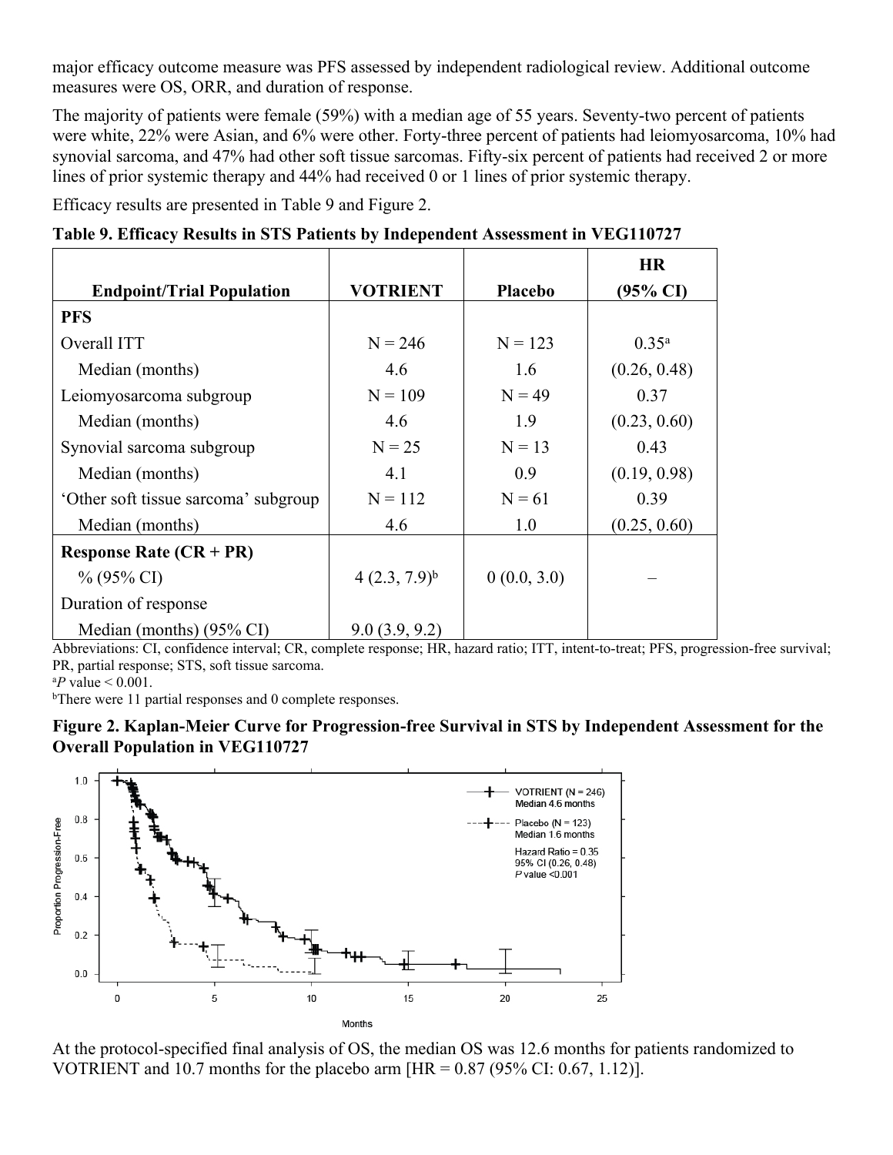major efficacy outcome measure was PFS assessed by independent radiological review. Additional outcome measures were OS, ORR, and duration of response.

The majority of patients were female (59%) with a median age of 55 years. Seventy-two percent of patients were white, 22% were Asian, and 6% were other. Forty-three percent of patients had leiomyosarcoma, 10% had synovial sarcoma, and 47% had other soft tissue sarcomas. Fifty-six percent of patients had received 2 or more lines of prior systemic therapy and 44% had received 0 or 1 lines of prior systemic therapy.

Efficacy results are presented in Table 9 and Figure 2.

|  |  | Table 9. Efficacy Results in STS Patients by Independent Assessment in VEG110727 |  |
|--|--|----------------------------------------------------------------------------------|--|
|  |  |                                                                                  |  |

|                                             |                   |                | <b>HR</b>           |
|---------------------------------------------|-------------------|----------------|---------------------|
| <b>Endpoint/Trial Population</b>            | <b>VOTRIENT</b>   | <b>Placebo</b> | $(95\% \text{ CI})$ |
| <b>PFS</b>                                  |                   |                |                     |
| Overall ITT                                 | $N = 246$         | $N = 123$      | $0.35^{a}$          |
| Median (months)                             | 4.6               | 1.6            | (0.26, 0.48)        |
| Leiomyosarcoma subgroup                     | $N = 109$         | $N = 49$       | 0.37                |
| Median (months)                             | 4.6               | 1.9            | (0.23, 0.60)        |
| Synovial sarcoma subgroup                   | $N = 25$          | $N = 13$       | 0.43                |
| Median (months)                             | 4.1               | 0.9            | (0.19, 0.98)        |
| 'Other soft tissue sarcoma' subgroup        | $N = 112$         | $N = 61$       | 0.39                |
| Median (months)                             | 4.6               | 1.0            | (0.25, 0.60)        |
| <b>Response Rate <math>(CR + PR)</math></b> |                   |                |                     |
| $\%$ (95% CI)                               | $4(2.3, 7.9)^{b}$ | 0(0.0, 3.0)    |                     |
| Duration of response                        |                   |                |                     |
| Median (months) (95% CI)                    | 9.0(3.9, 9.2)     |                |                     |

Abbreviations: CI, confidence interval; CR, complete response; HR, hazard ratio; ITT, intent-to-treat; PFS, progression-free survival; PR, partial response; STS, soft tissue sarcoma.

 $^{a}P$  value  $< 0.001$ .

<sup>b</sup>There were 11 partial responses and 0 complete responses.





At the protocol-specified final analysis of OS, the median OS was 12.6 months for patients randomized to VOTRIENT and 10.7 months for the placebo arm  $[HR = 0.87 (95\% CI: 0.67, 1.12)].$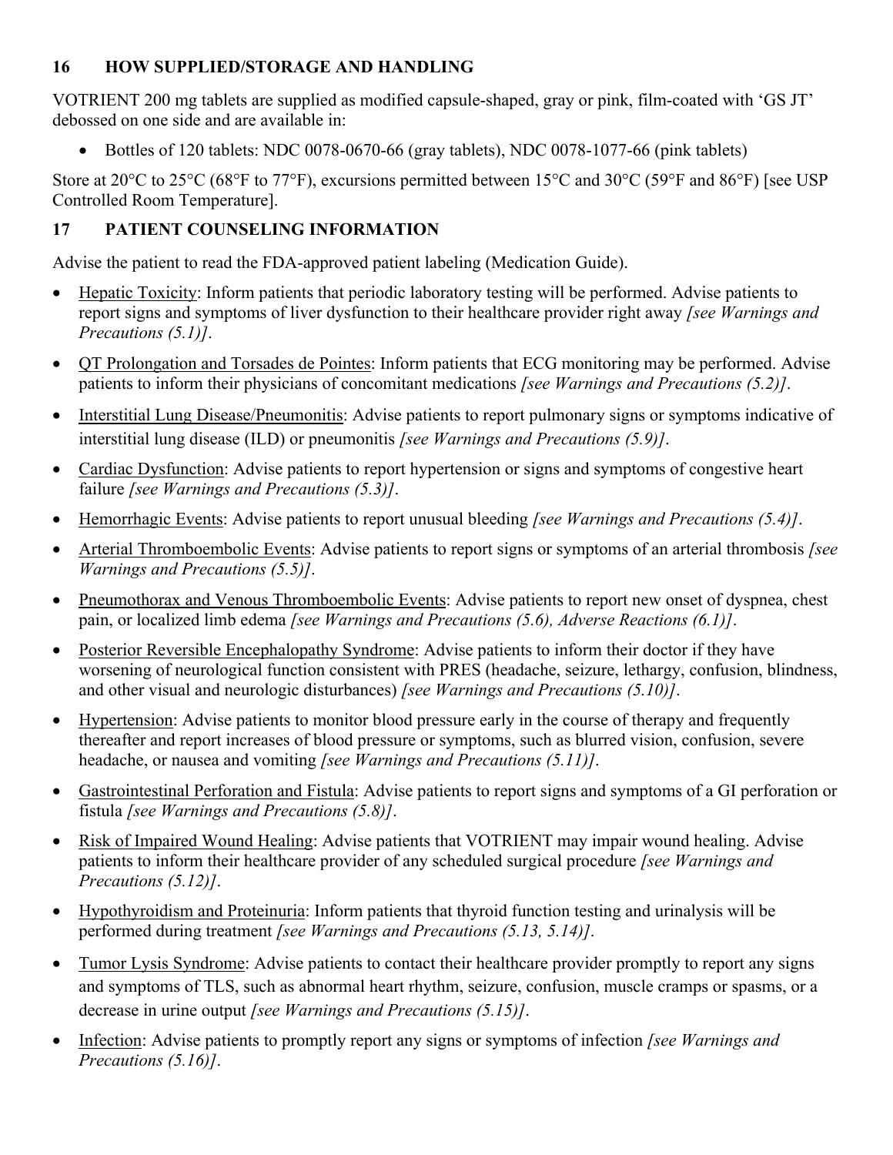### <span id="page-24-0"></span>**16 HOW SUPPLIED/STORAGE AND HANDLING**

VOTRIENT 200 mg tablets are supplied as modified capsule-shaped, gray or pink, film-coated with 'GS JT' debossed on one side and are available in:

Bottles of 120 tablets: NDC 0078-0670-66 (gray tablets), NDC 0078-1077-66 (pink tablets)

Store at 20 $\degree$ C to 25 $\degree$ C (68 $\degree$ F to 77 $\degree$ F), excursions permitted between 15 $\degree$ C and 30 $\degree$ C (59 $\degree$ F and 86 $\degree$ F) [see USP Controlled Room Temperature].

# <span id="page-24-1"></span>**17 PATIENT COUNSELING INFORMATION**

Advise the patient to read the FDA-approved patient labeling (Medication Guide).

- Hepatic Toxicity: Inform patients that periodic laboratory testing will be performed. Advise patients to report signs and symptoms of liver dysfunction to their healthcare provider right away *[see Warnings and Precautions (5.1)]*.
- OT Prolongation and Torsades de Pointes: Inform patients that ECG monitoring may be performed. Advise patients to inform their physicians of concomitant medications *[see Warnings and Precautions (5.2)]*.
- Interstitial Lung Disease/Pneumonitis: Advise patients to report pulmonary signs or symptoms indicative of interstitial lung disease (ILD) or pneumonitis *[see Warnings and Precautions (5.9)]*.
- Cardiac Dysfunction: Advise patients to report hypertension or signs and symptoms of congestive heart failure *[see Warnings and Precautions (5.3)]*.
- Hemorrhagic Events: Advise patients to report unusual bleeding *[see Warnings and Precautions (5.4)]*.
- Arterial Thromboembolic Events: Advise patients to report signs or symptoms of an arterial thrombosis *[see Warnings and Precautions (5.5)]*.
- Pneumothorax and Venous Thromboembolic Events: Advise patients to report new onset of dyspnea, chest pain, or localized limb edema *[see Warnings and Precautions (5.6), Adverse Reactions (6.1)]*.
- Posterior Reversible Encephalopathy Syndrome: Advise patients to inform their doctor if they have worsening of neurological function consistent with PRES (headache, seizure, lethargy, confusion, blindness, and other visual and neurologic disturbances) *[see Warnings and Precautions (5.10)]*.
- Hypertension: Advise patients to monitor blood pressure early in the course of therapy and frequently thereafter and report increases of blood pressure or symptoms, such as blurred vision, confusion, severe headache, or nausea and vomiting *[see Warnings and Precautions (5.11)]*.
- Gastrointestinal Perforation and Fistula: Advise patients to report signs and symptoms of a GI perforation or fistula *[see Warnings and Precautions (5.8)]*.
- Risk of Impaired Wound Healing: Advise patients that VOTRIENT may impair wound healing. Advise patients to inform their healthcare provider of any scheduled surgical procedure *[see Warnings and Precautions (5.12)]*.
- Hypothyroidism and Proteinuria: Inform patients that thyroid function testing and urinalysis will be performed during treatment *[see Warnings and Precautions (5.13, 5.14)]*.
- Tumor Lysis Syndrome: Advise patients to contact their healthcare provider promptly to report any signs and symptoms of TLS, such as abnormal heart rhythm, seizure, confusion, muscle cramps or spasms, or a decrease in urine output *[see Warnings and Precautions (5.15)]*.
- Infection: Advise patients to promptly report any signs or symptoms of infection *[see Warnings and Precautions (5.16)]*.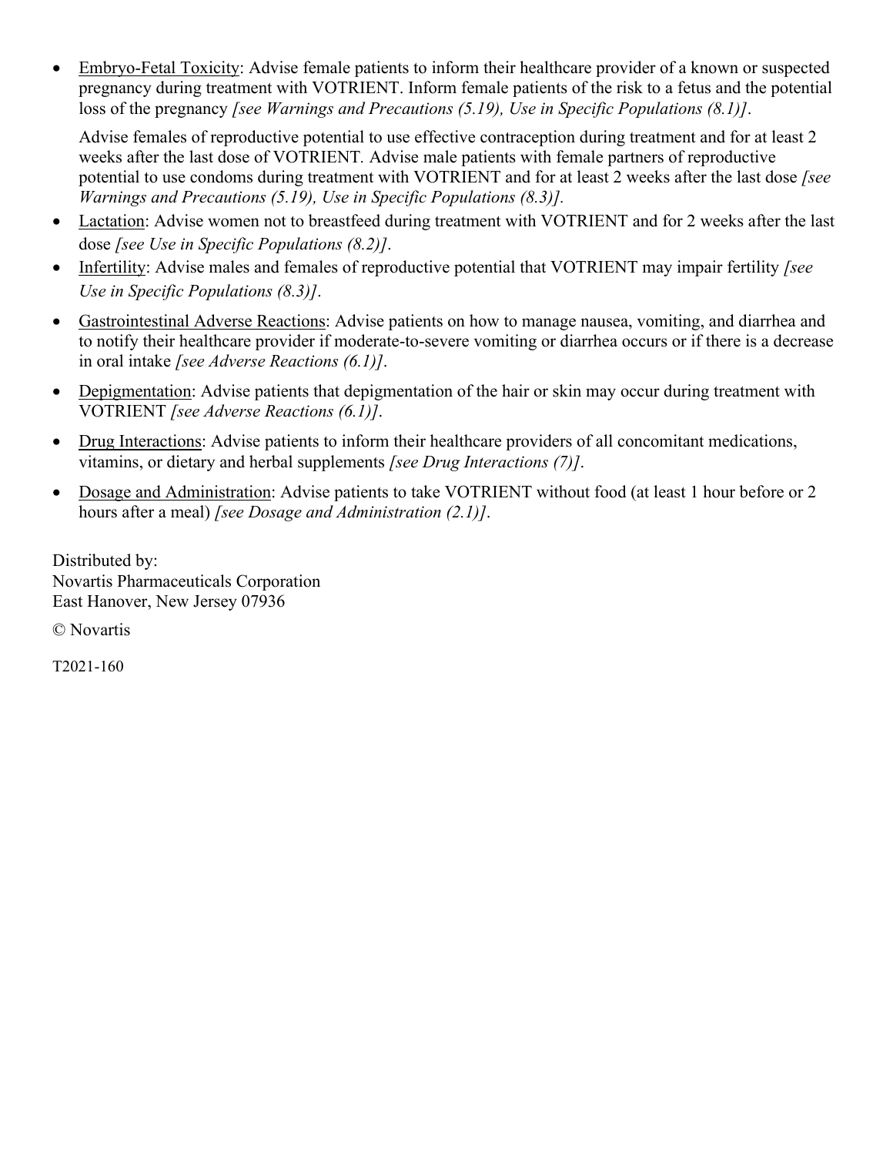Embryo-Fetal Toxicity: Advise female patients to inform their healthcare provider of a known or suspected pregnancy during treatment with VOTRIENT. Inform female patients of the risk to a fetus and the potential loss of the pregnancy *[see Warnings and Precautions (5.19), Use in Specific Populations (8.1)]*.

Advise females of reproductive potential to use effective contraception during treatment and for at least 2 weeks after the last dose of VOTRIENT*.* Advise male patients with female partners of reproductive potential to use condoms during treatment with VOTRIENT and for at least 2 weeks after the last dose *[see Warnings and Precautions (5.19), Use in Specific Populations (8.3)].*

- Lactation: Advise women not to breastfeed during treatment with VOTRIENT and for 2 weeks after the last dose *[see Use in Specific Populations (8.2)]*.
- Infertility: Advise males and females of reproductive potential that VOTRIENT may impair fertility *[see Use in Specific Populations (8.3)]*.
- Gastrointestinal Adverse Reactions: Advise patients on how to manage nausea, vomiting, and diarrhea and to notify their healthcare provider if moderate-to-severe vomiting or diarrhea occurs or if there is a decrease in oral intake *[see Adverse Reactions (6.1)]*.
- Depigmentation: Advise patients that depigmentation of the hair or skin may occur during treatment with VOTRIENT *[see Adverse Reactions (6.1)]*.
- Drug Interactions: Advise patients to inform their healthcare providers of all concomitant medications, vitamins, or dietary and herbal supplements *[see Drug Interactions (7)]*.
- Dosage and Administration: Advise patients to take VOTRIENT without food (at least 1 hour before or 2 hours after a meal) *[see Dosage and Administration (2.1)]*.

Distributed by: Novartis Pharmaceuticals Corporation East Hanover, New Jersey 07936

© Novartis

T2021-160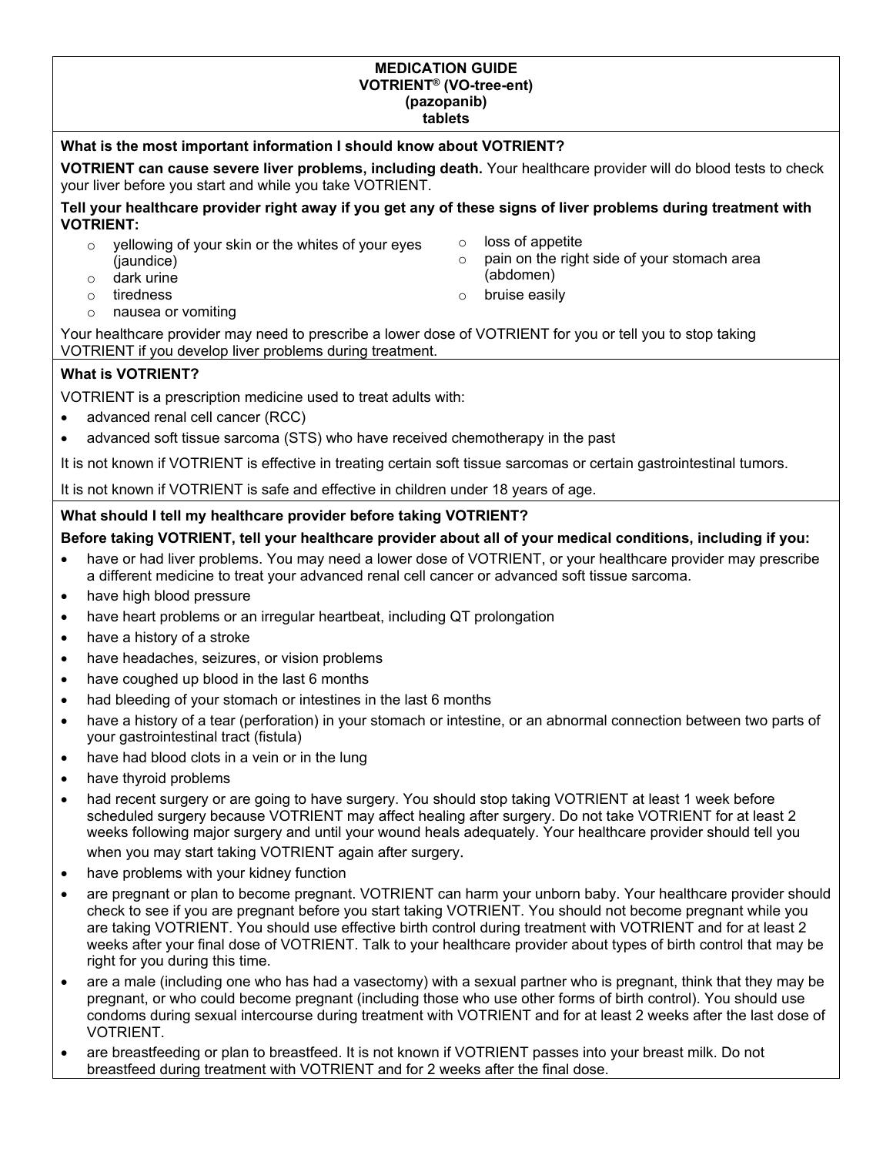#### **MEDICATION GUIDE VOTRIENT® (VO-tree-ent) (pazopanib) tablets**

#### **What is the most important information I should know about VOTRIENT?**

**VOTRIENT can cause severe liver problems, including death.** Your healthcare provider will do blood tests to check your liver before you start and while you take VOTRIENT.

**Tell your healthcare provider right away if you get any of these signs of liver problems during treatment with VOTRIENT:**

- o yellowing of your skin or the whites of your eyes (jaundice)
- o dark urine<br>o tiredness
- 
- o loss of appetite  $\circ$  pain on the right side of your stomach area (abdomen)
- o tiredness o bruise easily
- o nausea or vomiting

Your healthcare provider may need to prescribe a lower dose of VOTRIENT for you or tell you to stop taking VOTRIENT if you develop liver problems during treatment.

#### **What is VOTRIENT?**

VOTRIENT is a prescription medicine used to treat adults with:

- advanced renal cell cancer (RCC)
- advanced soft tissue sarcoma (STS) who have received chemotherapy in the past

It is not known if VOTRIENT is effective in treating certain soft tissue sarcomas or certain gastrointestinal tumors.

It is not known if VOTRIENT is safe and effective in children under 18 years of age.

#### **What should I tell my healthcare provider before taking VOTRIENT?**

#### **Before taking VOTRIENT, tell your healthcare provider about all of your medical conditions, including if you:**

- have or had liver problems. You may need a lower dose of VOTRIENT, or your healthcare provider may prescribe a different medicine to treat your advanced renal cell cancer or advanced soft tissue sarcoma.
- have high blood pressure
- have heart problems or an irregular heartbeat, including QT prolongation
- have a history of a stroke
- have headaches, seizures, or vision problems
- have coughed up blood in the last 6 months
- had bleeding of your stomach or intestines in the last 6 months
- have a history of a tear (perforation) in your stomach or intestine, or an abnormal connection between two parts of your gastrointestinal tract (fistula)
- have had blood clots in a vein or in the lung
- have thyroid problems
- had recent surgery or are going to have surgery. You should stop taking VOTRIENT at least 1 week before scheduled surgery because VOTRIENT may affect healing after surgery. Do not take VOTRIENT for at least 2 weeks following major surgery and until your wound heals adequately. Your healthcare provider should tell you when you may start taking VOTRIENT again after surgery.
- have problems with your kidney function
- are pregnant or plan to become pregnant. VOTRIENT can harm your unborn baby. Your healthcare provider should check to see if you are pregnant before you start taking VOTRIENT. You should not become pregnant while you are taking VOTRIENT. You should use effective birth control during treatment with VOTRIENT and for at least 2 weeks after your final dose of VOTRIENT. Talk to your healthcare provider about types of birth control that may be right for you during this time.
- are a male (including one who has had a vasectomy) with a sexual partner who is pregnant, think that they may be pregnant, or who could become pregnant (including those who use other forms of birth control). You should use condoms during sexual intercourse during treatment with VOTRIENT and for at least 2 weeks after the last dose of VOTRIENT.
- are breastfeeding or plan to breastfeed. It is not known if VOTRIENT passes into your breast milk. Do not breastfeed during treatment with VOTRIENT and for 2 weeks after the final dose.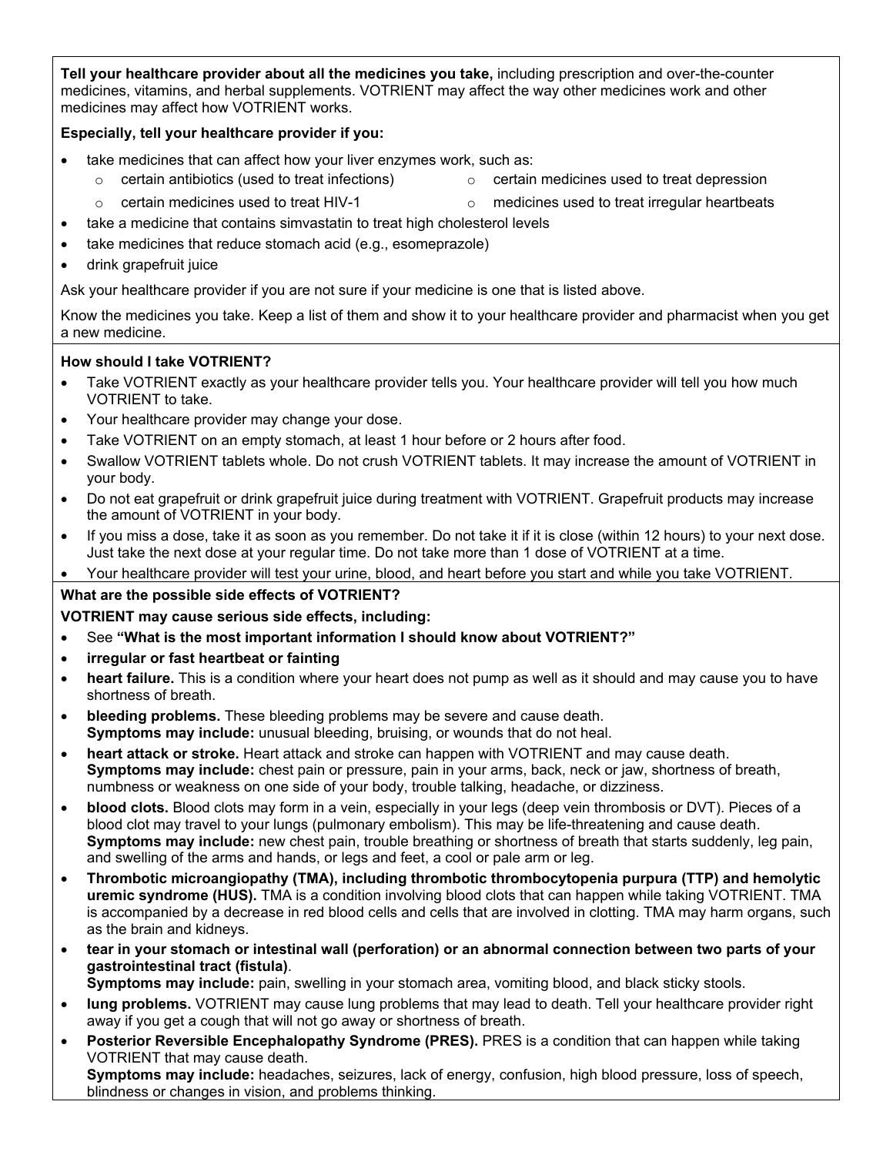**Tell your healthcare provider about all the medicines you take,** including prescription and over-the-counter medicines, vitamins, and herbal supplements. VOTRIENT may affect the way other medicines work and other medicines may affect how VOTRIENT works.

#### **Especially, tell your healthcare provider if you:**

- take medicines that can affect how your liver enzymes work, such as:
	- $\circ$  certain antibiotics (used to treat infections)  $\circ$  certain medicines used to treat depression
	- $\circ$  certain medicines used to treat HIV-1  $\circ$  medicines used to treat irregular heartbeats
- take a medicine that contains simvastatin to treat high cholesterol levels
- take medicines that reduce stomach acid (e.g., esomeprazole)
- drink grapefruit juice

Ask your healthcare provider if you are not sure if your medicine is one that is listed above.

Know the medicines you take. Keep a list of them and show it to your healthcare provider and pharmacist when you get a new medicine.

#### **How should I take VOTRIENT?**

- Take VOTRIENT exactly as your healthcare provider tells you. Your healthcare provider will tell you how much VOTRIENT to take.
- Your healthcare provider may change your dose.
- Take VOTRIENT on an empty stomach, at least 1 hour before or 2 hours after food.
- Swallow VOTRIENT tablets whole. Do not crush VOTRIENT tablets. It may increase the amount of VOTRIENT in your body.
- Do not eat grapefruit or drink grapefruit juice during treatment with VOTRIENT. Grapefruit products may increase the amount of VOTRIENT in your body.
- If you miss a dose, take it as soon as you remember. Do not take it if it is close (within 12 hours) to your next dose. Just take the next dose at your regular time. Do not take more than 1 dose of VOTRIENT at a time.
- Your healthcare provider will test your urine, blood, and heart before you start and while you take VOTRIENT.

#### **What are the possible side effects of VOTRIENT?**

#### **VOTRIENT may cause serious side effects, including:**

- See **"What is the most important information I should know about VOTRIENT?"**
- **irregular or fast heartbeat or fainting**
- **heart failure.** This is a condition where your heart does not pump as well as it should and may cause you to have shortness of breath.
- **bleeding problems.** These bleeding problems may be severe and cause death. **Symptoms may include:** unusual bleeding, bruising, or wounds that do not heal.
- **heart attack or stroke.** Heart attack and stroke can happen with VOTRIENT and may cause death. **Symptoms may include:** chest pain or pressure, pain in your arms, back, neck or jaw, shortness of breath, numbness or weakness on one side of your body, trouble talking, headache, or dizziness.
- **blood clots.** Blood clots may form in a vein, especially in your legs (deep vein thrombosis or DVT). Pieces of a blood clot may travel to your lungs (pulmonary embolism). This may be life-threatening and cause death. **Symptoms may include:** new chest pain, trouble breathing or shortness of breath that starts suddenly, leg pain, and swelling of the arms and hands, or legs and feet, a cool or pale arm or leg.
- **Thrombotic microangiopathy (TMA), including thrombotic thrombocytopenia purpura (TTP) and hemolytic uremic syndrome (HUS).** TMA is a condition involving blood clots that can happen while taking VOTRIENT. TMA is accompanied by a decrease in red blood cells and cells that are involved in clotting. TMA may harm organs, such as the brain and kidneys.
- **tear in your stomach or intestinal wall (perforation) or an abnormal connection between two parts of your gastrointestinal tract (fistula)**.

**Symptoms may include:** pain, swelling in your stomach area, vomiting blood, and black sticky stools.

- **lung problems.** VOTRIENT may cause lung problems that may lead to death. Tell your healthcare provider right away if you get a cough that will not go away or shortness of breath.
- **Posterior Reversible Encephalopathy Syndrome (PRES).** PRES is a condition that can happen while taking VOTRIENT that may cause death. **Symptoms may include:** headaches, seizures, lack of energy, confusion, high blood pressure, loss of speech, blindness or changes in vision, and problems thinking.